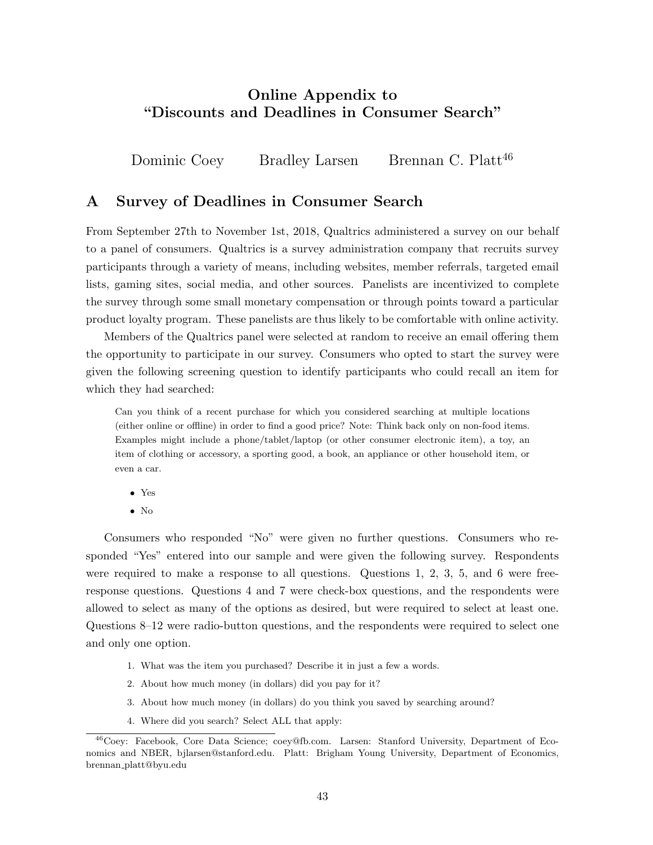# Online Appendix to "Discounts and Deadlines in Consumer Search"

Dominic Coey Bradley Larsen Brennan C. Platt<sup>46</sup>

## A Survey of Deadlines in Consumer Search

From September 27th to November 1st, 2018, Qualtrics administered a survey on our behalf to a panel of consumers. Qualtrics is a survey administration company that recruits survey participants through a variety of means, including websites, member referrals, targeted email lists, gaming sites, social media, and other sources. Panelists are incentivized to complete the survey through some small monetary compensation or through points toward a particular product loyalty program. These panelists are thus likely to be comfortable with online activity.

Members of the Qualtrics panel were selected at random to receive an email offering them the opportunity to participate in our survey. Consumers who opted to start the survey were given the following screening question to identify participants who could recall an item for which they had searched:

Can you think of a recent purchase for which you considered searching at multiple locations (either online or offline) in order to find a good price? Note: Think back only on non-food items. Examples might include a phone/tablet/laptop (or other consumer electronic item), a toy, an item of clothing or accessory, a sporting good, a book, an appliance or other household item, or even a car.

- Yes
- No

Consumers who responded "No" were given no further questions. Consumers who responded "Yes" entered into our sample and were given the following survey. Respondents were required to make a response to all questions. Questions 1, 2, 3, 5, and 6 were freeresponse questions. Questions 4 and 7 were check-box questions, and the respondents were allowed to select as many of the options as desired, but were required to select at least one. Questions 8–12 were radio-button questions, and the respondents were required to select one and only one option.

- 1. What was the item you purchased? Describe it in just a few a words.
- 2. About how much money (in dollars) did you pay for it?
- 3. About how much money (in dollars) do you think you saved by searching around?
- 4. Where did you search? Select ALL that apply:

<sup>&</sup>lt;sup>46</sup>Coey: Facebook, Core Data Science; coey@fb.com. Larsen: Stanford University, Department of Economics and NBER, bjlarsen@stanford.edu. Platt: Brigham Young University, Department of Economics, brennan platt@byu.edu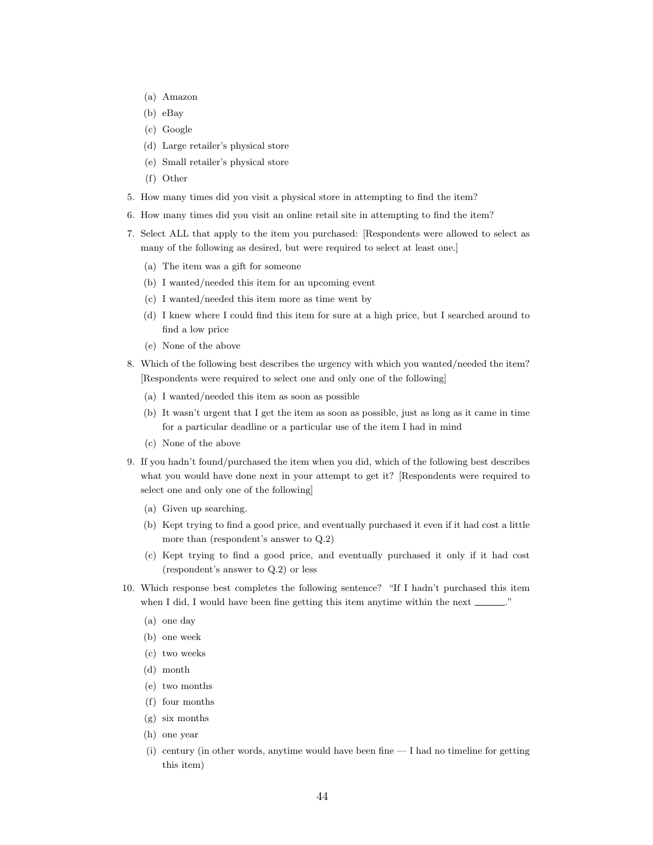- (a) Amazon
- (b) eBay
- (c) Google
- (d) Large retailer's physical store
- (e) Small retailer's physical store
- (f) Other
- 5. How many times did you visit a physical store in attempting to find the item?
- 6. How many times did you visit an online retail site in attempting to find the item?
- 7. Select ALL that apply to the item you purchased: [Respondents were allowed to select as many of the following as desired, but were required to select at least one.]
	- (a) The item was a gift for someone
	- (b) I wanted/needed this item for an upcoming event
	- (c) I wanted/needed this item more as time went by
	- (d) I knew where I could find this item for sure at a high price, but I searched around to find a low price
	- (e) None of the above
- 8. Which of the following best describes the urgency with which you wanted/needed the item? [Respondents were required to select one and only one of the following]
	- (a) I wanted/needed this item as soon as possible
	- (b) It wasn't urgent that I get the item as soon as possible, just as long as it came in time for a particular deadline or a particular use of the item I had in mind
	- (c) None of the above
- 9. If you hadn't found/purchased the item when you did, which of the following best describes what you would have done next in your attempt to get it? [Respondents were required to select one and only one of the following]
	- (a) Given up searching.
	- (b) Kept trying to find a good price, and eventually purchased it even if it had cost a little more than (respondent's answer to Q.2)
	- (c) Kept trying to find a good price, and eventually purchased it only if it had cost (respondent's answer to Q.2) or less
- 10. Which response best completes the following sentence? "If I hadn't purchased this item when I did, I would have been fine getting this item anytime within the next  $\ldots$ .
	- (a) one day
	- (b) one week
	- (c) two weeks
	- (d) month
	- (e) two months
	- (f) four months
	- (g) six months
	- (h) one year
	- (i) century (in other words, anytime would have been fine I had no timeline for getting this item)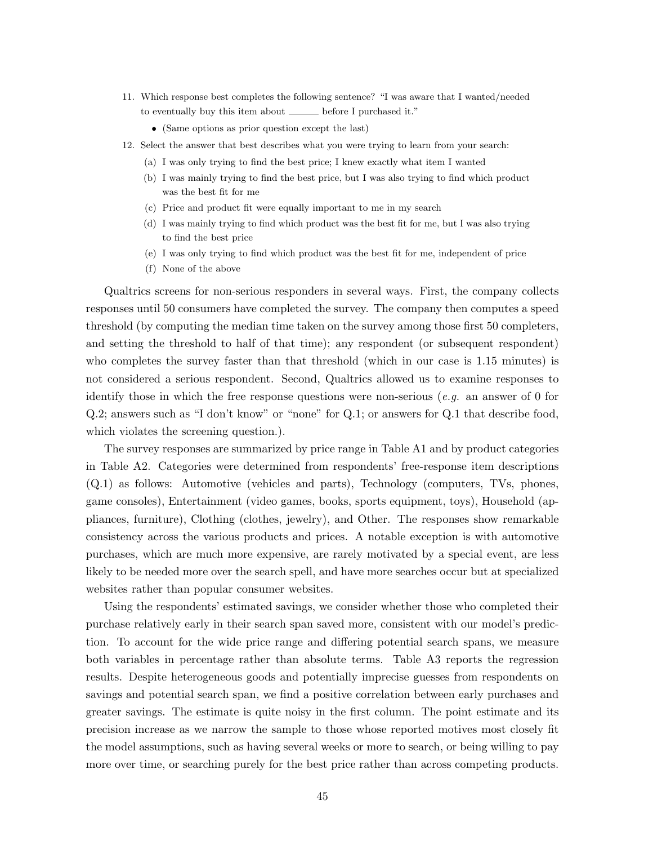- 11. Which response best completes the following sentence? "I was aware that I wanted/needed to eventually buy this item about \_\_\_\_\_ before I purchased it."
	- (Same options as prior question except the last)
- 12. Select the answer that best describes what you were trying to learn from your search:
	- (a) I was only trying to find the best price; I knew exactly what item I wanted
	- (b) I was mainly trying to find the best price, but I was also trying to find which product was the best fit for me
	- (c) Price and product fit were equally important to me in my search
	- (d) I was mainly trying to find which product was the best fit for me, but I was also trying to find the best price
	- (e) I was only trying to find which product was the best fit for me, independent of price
	- (f) None of the above

Qualtrics screens for non-serious responders in several ways. First, the company collects responses until 50 consumers have completed the survey. The company then computes a speed threshold (by computing the median time taken on the survey among those first 50 completers, and setting the threshold to half of that time); any respondent (or subsequent respondent) who completes the survey faster than that threshold (which in our case is 1.15 minutes) is not considered a serious respondent. Second, Qualtrics allowed us to examine responses to identify those in which the free response questions were non-serious (*e.g.* an answer of 0 for Q.2; answers such as "I don't know" or "none" for Q.1; or answers for Q.1 that describe food, which violates the screening question.).

The survey responses are summarized by price range in Table A1 and by product categories in Table A2. Categories were determined from respondents' free-response item descriptions (Q.1) as follows: Automotive (vehicles and parts), Technology (computers, TVs, phones, game consoles), Entertainment (video games, books, sports equipment, toys), Household (appliances, furniture), Clothing (clothes, jewelry), and Other. The responses show remarkable consistency across the various products and prices. A notable exception is with automotive purchases, which are much more expensive, are rarely motivated by a special event, are less likely to be needed more over the search spell, and have more searches occur but at specialized websites rather than popular consumer websites.

Using the respondents' estimated savings, we consider whether those who completed their purchase relatively early in their search span saved more, consistent with our model's prediction. To account for the wide price range and differing potential search spans, we measure both variables in percentage rather than absolute terms. Table A3 reports the regression results. Despite heterogeneous goods and potentially imprecise guesses from respondents on savings and potential search span, we find a positive correlation between early purchases and greater savings. The estimate is quite noisy in the first column. The point estimate and its precision increase as we narrow the sample to those whose reported motives most closely fit the model assumptions, such as having several weeks or more to search, or being willing to pay more over time, or searching purely for the best price rather than across competing products.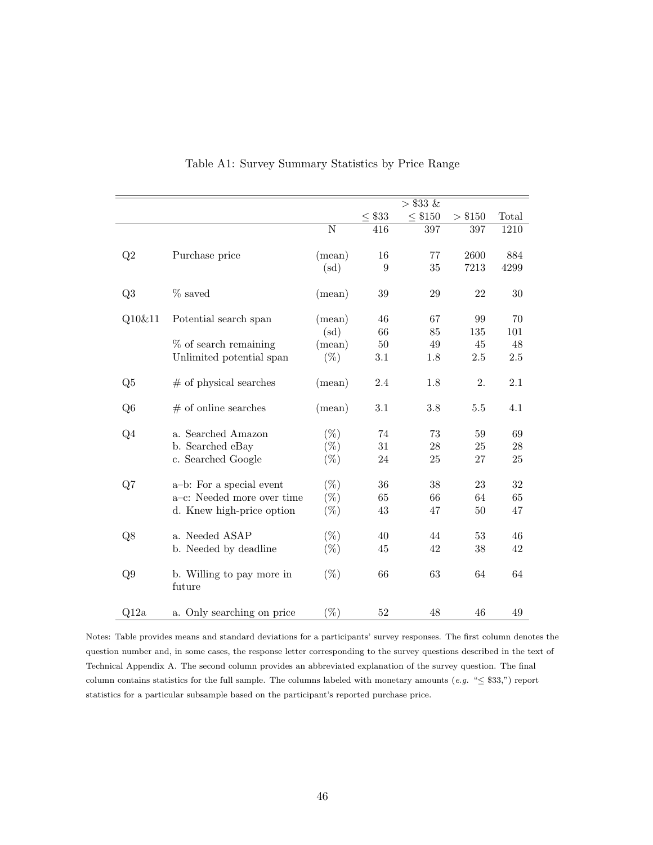|                |                            |                       |             | $> $33 \; \&$  |         |       |
|----------------|----------------------------|-----------------------|-------------|----------------|---------|-------|
|                |                            |                       | $\leq$ \$33 | $\leq$ $\$150$ | > \$150 | Total |
|                |                            | $\overline{\text{N}}$ | 416         | 397            | 397     | 1210  |
|                |                            |                       |             |                |         |       |
| Q2             | Purchase price             | (mean)                | 16          | 77             | 2600    | 884   |
|                |                            | (sd)                  | 9           | 35             | 7213    | 4299  |
|                |                            |                       |             |                |         |       |
| Q3             | $%$ saved                  | (mean)                | 39          | 29             | 22      | 30    |
|                |                            |                       |             |                |         |       |
| Q10&11         | Potential search span      | (mean)                | 46          | 67             | 99      | 70    |
|                |                            | (sd)                  | 66          | 85             | 135     | 101   |
|                | $%$ of search remaining    | (mean)                | 50          | 49             | 45      | 48    |
|                | Unlimited potential span   | $(\%)$                | 3.1         | 1.8            | 2.5     | 2.5   |
|                |                            |                       |             |                |         |       |
| Q5             | $#$ of physical searches   | (mean)                | 2.4         | 1.8            | 2.      | 2.1   |
|                |                            |                       |             |                |         |       |
| Q <sub>6</sub> | $#$ of online searches     | (mean)                | 3.1         | 3.8            | 5.5     | 4.1   |
|                |                            |                       |             |                |         |       |
| Q <sub>4</sub> | a. Searched Amazon         | $(\%)$                | 74          | 73             | 59      | 69    |
|                | b. Searched eBay           | $(\% )$               | 31          | 28             | 25      | 28    |
|                | c. Searched Google         | $(\%)$                | 24          | 25             | 27      | 25    |
|                |                            |                       |             |                |         |       |
|                | a-b: For a special event   | $(\%)$                | 36          | 38             | 23      | 32    |
| Q7             | a-c: Needed more over time | $(\%)$                | 65          | 66             | 64      | 65    |
|                |                            |                       |             |                |         |       |
|                | d. Knew high-price option  | $(\%)$                | 43          | 47             | $50\,$  | 47    |
|                |                            |                       |             |                |         |       |
| Q8             | a. Needed ASAP             | $(\%)$                | 40          | 44             | 53      | 46    |
|                | b. Needed by deadline      | $(\%)$                | 45          | 42             | 38      | 42    |
|                |                            |                       |             |                |         |       |
| Q9             | b. Willing to pay more in  | $(\%)$                | 66          | 63             | 64      | 64    |
|                | future                     |                       |             |                |         |       |
|                |                            |                       |             |                |         |       |
| Q12a           | a. Only searching on price | $(\%)$                | 52          | 48             | 46      | 49    |

### Table A1: Survey Summary Statistics by Price Range

Notes: Table provides means and standard deviations for a participants' survey responses. The first column denotes the question number and, in some cases, the response letter corresponding to the survey questions described in the text of Technical Appendix A. The second column provides an abbreviated explanation of the survey question. The final column contains statistics for the full sample. The columns labeled with monetary amounts  $(e.g. " \leq $33,")$  report statistics for a particular subsample based on the participant's reported purchase price.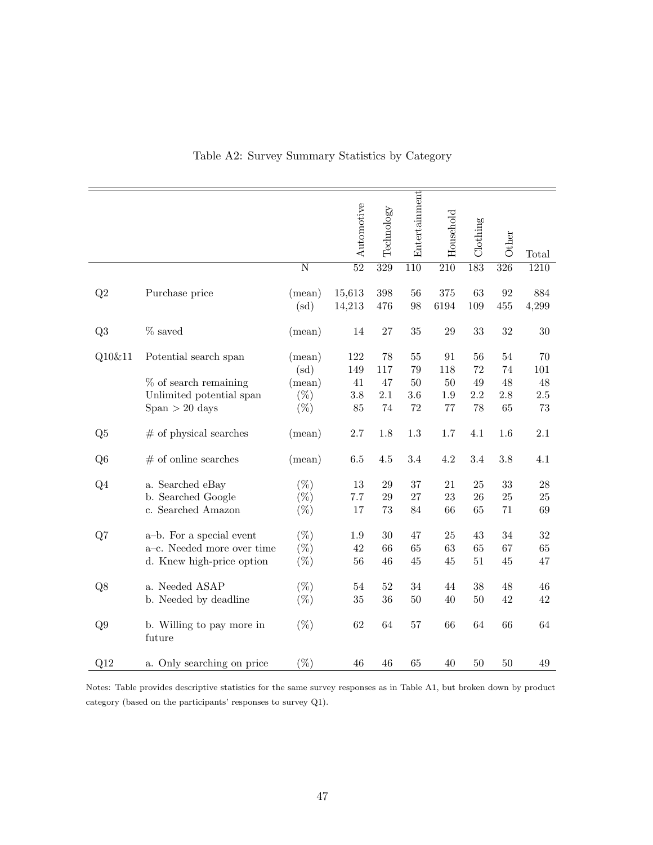|                 |                                                                                                  |                                                    | Automotive                    | Technology                   | Entertainment                       | Household                            | $\operatorname{Clotling}$   | Other                           | Total                            |
|-----------------|--------------------------------------------------------------------------------------------------|----------------------------------------------------|-------------------------------|------------------------------|-------------------------------------|--------------------------------------|-----------------------------|---------------------------------|----------------------------------|
|                 |                                                                                                  | $\overline{\text{N}}$                              | $\overline{52}$               | $\overline{329}$             | $\overline{110}$                    | $\overline{210}$                     | 183                         | $\overline{326}$                | 1210                             |
| Q2              | Purchase price                                                                                   | (mean)<br>(sd)                                     | 15,613<br>14,213              | 398<br>476                   | 56<br>98                            | 375<br>6194                          | 63<br>109                   | 92<br>455                       | 884<br>4,299                     |
| Q3              | $%$ saved                                                                                        | (mean)                                             | 14                            | $27\,$                       | $35\,$                              | 29                                   | 33                          | $32\,$                          | $30\,$                           |
| Q10&11          | Potential search span<br>$%$ of search remaining<br>Unlimited potential span<br>$Span > 20$ days | (mean)<br>$\rm (sd)$<br>(mean)<br>$(\%)$<br>$(\%)$ | 122<br>149<br>41<br>3.8<br>85 | 78<br>117<br>47<br>2.1<br>74 | 55<br>$79\,$<br>50<br>$3.6\,$<br>72 | 91<br>118<br>50<br>$1.9\,$<br>$77\,$ | 56<br>72<br>49<br>2.2<br>78 | $54\,$<br>74<br>48<br>2.8<br>65 | 70<br>101<br>48<br>$2.5\,$<br>73 |
| Q5              | $#$ of physical searches                                                                         | (mean)                                             | 2.7                           | 1.8                          | $1.3\,$                             | 1.7                                  | 4.1                         | 1.6                             | 2.1                              |
| Q <sub>6</sub>  | $#$ of online searches                                                                           | (mean)                                             | $6.5\,$                       | $4.5\,$                      | 3.4                                 | 4.2                                  | 3.4                         | 3.8                             | 4.1                              |
| Q4              | a. Searched eBay<br>b. Searched Google<br>c. Searched Amazon                                     | $(\% )$<br>$(\%)$<br>$(\% )$                       | 13<br>7.7<br>17               | $\,29$<br>29<br>73           | 37<br>$27\,$<br>84                  | 21<br>23<br>66                       | 25<br>26<br>65              | $33\,$<br>25<br>71              | $28\,$<br>25<br>69               |
| Q7              | a-b. For a special event<br>a-c. Needed more over time<br>d. Knew high-price option              | $(\%)$<br>$(\%)$<br>$(\%)$                         | 1.9<br>42<br>56               | 30<br>66<br>46               | 47<br>65<br>$45\,$                  | 25<br>63<br>45                       | 43<br>65<br>51              | 34<br>67<br>45                  | 32<br>65<br>47                   |
| Q8              | a. Needed ASAP<br>b. Needed by deadline                                                          | $(\%)$<br>$(\%)$                                   | $54\,$<br>35                  | 52<br>36                     | 34<br>50                            | 44<br>40                             | 38<br>50                    | 48<br>42                        | 46<br>42                         |
| Q9              | b. Willing to pay more in<br>future                                                              | $(\%)$                                             | 62                            | 64                           | 57                                  | 66                                   | 64                          | 66                              | 64                               |
| Q <sub>12</sub> | a. Only searching on price                                                                       | $(\%)$                                             | 46                            | 46                           | 65                                  | 40                                   | 50                          | 50                              | 49                               |

Table A2: Survey Summary Statistics by Category

Notes: Table provides descriptive statistics for the same survey responses as in Table A1, but broken down by product category (based on the participants' responses to survey Q1).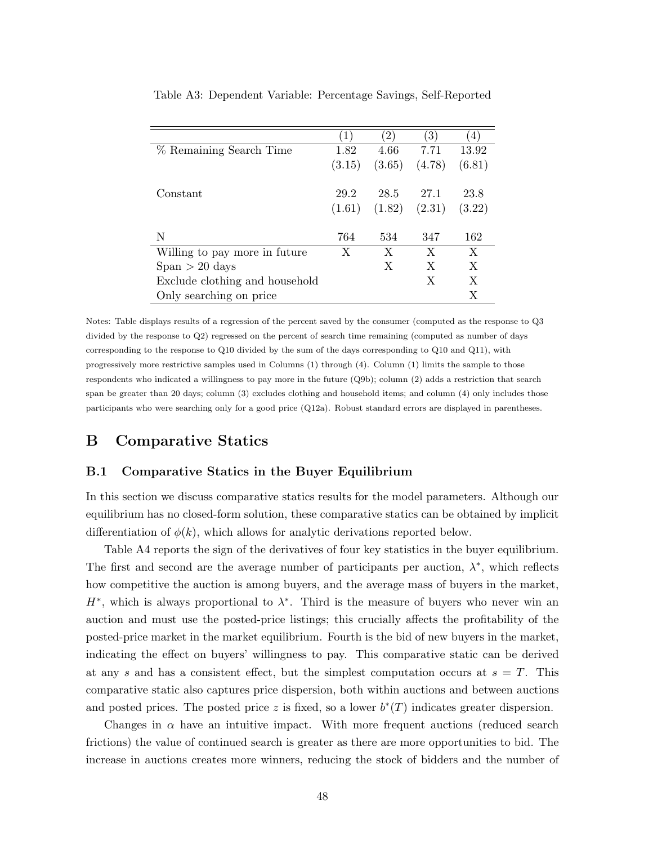|                                | $\left( 1\right)$ | 2)     | $\left(3\right)$ | $\left(4\right)$ |
|--------------------------------|-------------------|--------|------------------|------------------|
| % Remaining Search Time        | 1.82              | 4.66   | 7.71             | 13.92            |
|                                | (3.15)            | (3.65) | (4.78)           | (6.81)           |
|                                |                   |        |                  |                  |
| Constant                       | 29.2              | 28.5   | 27.1             | 23.8             |
|                                | (1.61)            | (1.82) | (2.31)           | (3.22)           |
|                                |                   |        |                  |                  |
| N                              | 764               | 534    | 347              | 162              |
| Willing to pay more in future  | X                 | X      | X                | X                |
| $Span > 20$ days               |                   | X      | X                | X                |
| Exclude clothing and household |                   |        | X                | $\mathbf{X}$     |
| Only searching on price        |                   |        |                  | Х                |

Table A3: Dependent Variable: Percentage Savings, Self-Reported

Notes: Table displays results of a regression of the percent saved by the consumer (computed as the response to Q3 divided by the response to Q2) regressed on the percent of search time remaining (computed as number of days corresponding to the response to Q10 divided by the sum of the days corresponding to Q10 and Q11), with progressively more restrictive samples used in Columns (1) through (4). Column (1) limits the sample to those respondents who indicated a willingness to pay more in the future (Q9b); column (2) adds a restriction that search span be greater than 20 days; column (3) excludes clothing and household items; and column (4) only includes those participants who were searching only for a good price (Q12a). Robust standard errors are displayed in parentheses.

### B Comparative Statics

### B.1 Comparative Statics in the Buyer Equilibrium

In this section we discuss comparative statics results for the model parameters. Although our equilibrium has no closed-form solution, these comparative statics can be obtained by implicit differentiation of  $\phi(k)$ , which allows for analytic derivations reported below.

Table A4 reports the sign of the derivatives of four key statistics in the buyer equilibrium. The first and second are the average number of participants per auction,  $\lambda^*$ , which reflects how competitive the auction is among buyers, and the average mass of buyers in the market,  $H^*$ , which is always proportional to  $\lambda^*$ . Third is the measure of buyers who never win an auction and must use the posted-price listings; this crucially affects the profitability of the posted-price market in the market equilibrium. Fourth is the bid of new buyers in the market, indicating the effect on buyers' willingness to pay. This comparative static can be derived at any s and has a consistent effect, but the simplest computation occurs at  $s = T$ . This comparative static also captures price dispersion, both within auctions and between auctions and posted prices. The posted price z is fixed, so a lower  $b^*(T)$  indicates greater dispersion.

Changes in  $\alpha$  have an intuitive impact. With more frequent auctions (reduced search frictions) the value of continued search is greater as there are more opportunities to bid. The increase in auctions creates more winners, reducing the stock of bidders and the number of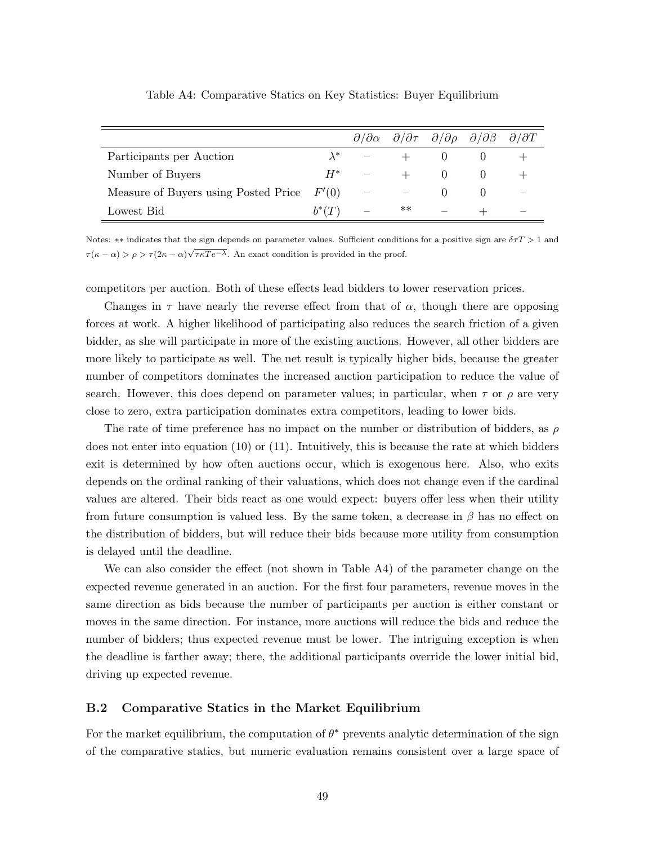|                                              |          |       | $\partial/\partial \alpha$ $\partial/\partial \tau$ $\partial/\partial \rho$ $\partial/\partial \beta$ $\partial/\partial T$ |  |
|----------------------------------------------|----------|-------|------------------------------------------------------------------------------------------------------------------------------|--|
| Participants per Auction                     |          |       |                                                                                                                              |  |
| Number of Buyers                             | $H^*$    |       |                                                                                                                              |  |
| Measure of Buyers using Posted Price $F'(0)$ |          |       |                                                                                                                              |  |
| Lowest Bid                                   | $b^*(T)$ | $***$ |                                                                                                                              |  |

Table A4: Comparative Statics on Key Statistics: Buyer Equilibrium

Notes: \*\* indicates that the sign depends on parameter values. Sufficient conditions for a positive sign are  $\delta \tau T > 1$  and  $\tau(\kappa - \alpha) > \rho > \tau(2\kappa - \alpha)\sqrt{\tau\kappaTe^{-\lambda}}$ . An exact condition is provided in the proof.

competitors per auction. Both of these effects lead bidders to lower reservation prices.

Changes in  $\tau$  have nearly the reverse effect from that of  $\alpha$ , though there are opposing forces at work. A higher likelihood of participating also reduces the search friction of a given bidder, as she will participate in more of the existing auctions. However, all other bidders are more likely to participate as well. The net result is typically higher bids, because the greater number of competitors dominates the increased auction participation to reduce the value of search. However, this does depend on parameter values; in particular, when  $\tau$  or  $\rho$  are very close to zero, extra participation dominates extra competitors, leading to lower bids.

The rate of time preference has no impact on the number or distribution of bidders, as  $\rho$ does not enter into equation (10) or (11). Intuitively, this is because the rate at which bidders exit is determined by how often auctions occur, which is exogenous here. Also, who exits depends on the ordinal ranking of their valuations, which does not change even if the cardinal values are altered. Their bids react as one would expect: buyers offer less when their utility from future consumption is valued less. By the same token, a decrease in  $\beta$  has no effect on the distribution of bidders, but will reduce their bids because more utility from consumption is delayed until the deadline.

We can also consider the effect (not shown in Table A4) of the parameter change on the expected revenue generated in an auction. For the first four parameters, revenue moves in the same direction as bids because the number of participants per auction is either constant or moves in the same direction. For instance, more auctions will reduce the bids and reduce the number of bidders; thus expected revenue must be lower. The intriguing exception is when the deadline is farther away; there, the additional participants override the lower initial bid, driving up expected revenue.

### B.2 Comparative Statics in the Market Equilibrium

For the market equilibrium, the computation of  $\theta^*$  prevents analytic determination of the sign of the comparative statics, but numeric evaluation remains consistent over a large space of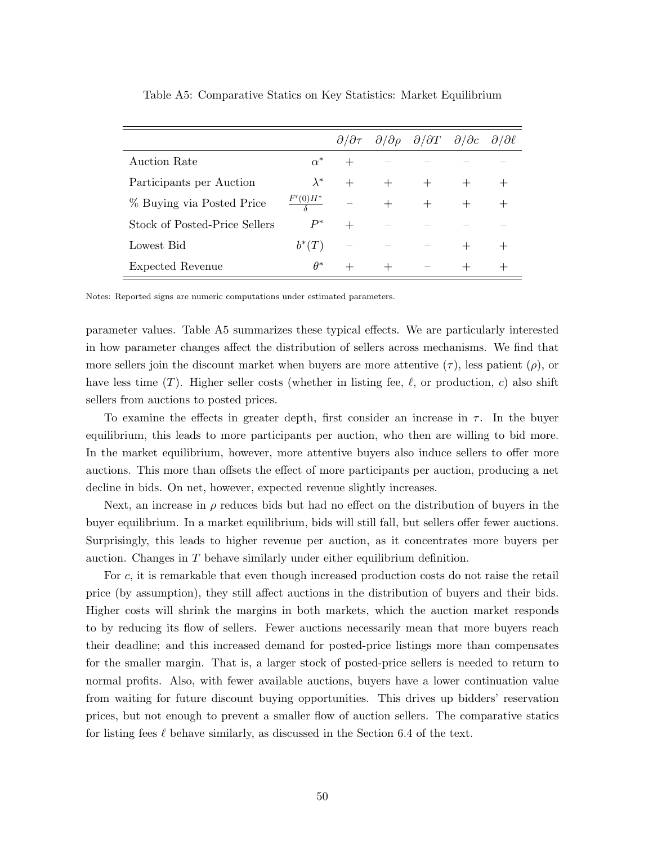|                               |             |        |        | $\partial/\partial \tau$ $\partial/\partial \rho$ $\partial/\partial T$ $\partial/\partial c$ $\partial/\partial \ell$ |  |
|-------------------------------|-------------|--------|--------|------------------------------------------------------------------------------------------------------------------------|--|
| Auction Rate                  | $\alpha^*$  |        |        |                                                                                                                        |  |
| Participants per Auction      | $\lambda^*$ | $^{+}$ | $^{+}$ |                                                                                                                        |  |
| % Buying via Posted Price     | $F'(0)H^*$  |        | $^{+}$ |                                                                                                                        |  |
| Stock of Posted-Price Sellers | $P^*$       | $^{+}$ |        |                                                                                                                        |  |
| Lowest Bid                    | $b^*(T)$    |        |        |                                                                                                                        |  |
| Expected Revenue              | $\theta^*$  |        |        |                                                                                                                        |  |

Table A5: Comparative Statics on Key Statistics: Market Equilibrium

Notes: Reported signs are numeric computations under estimated parameters.

parameter values. Table A5 summarizes these typical effects. We are particularly interested in how parameter changes affect the distribution of sellers across mechanisms. We find that more sellers join the discount market when buyers are more attentive  $(\tau)$ , less patient  $(\rho)$ , or have less time (T). Higher seller costs (whether in listing fee,  $\ell$ , or production, c) also shift sellers from auctions to posted prices.

To examine the effects in greater depth, first consider an increase in  $\tau$ . In the buyer equilibrium, this leads to more participants per auction, who then are willing to bid more. In the market equilibrium, however, more attentive buyers also induce sellers to offer more auctions. This more than offsets the effect of more participants per auction, producing a net decline in bids. On net, however, expected revenue slightly increases.

Next, an increase in  $\rho$  reduces bids but had no effect on the distribution of buyers in the buyer equilibrium. In a market equilibrium, bids will still fall, but sellers offer fewer auctions. Surprisingly, this leads to higher revenue per auction, as it concentrates more buyers per auction. Changes in T behave similarly under either equilibrium definition.

For c, it is remarkable that even though increased production costs do not raise the retail price (by assumption), they still affect auctions in the distribution of buyers and their bids. Higher costs will shrink the margins in both markets, which the auction market responds to by reducing its flow of sellers. Fewer auctions necessarily mean that more buyers reach their deadline; and this increased demand for posted-price listings more than compensates for the smaller margin. That is, a larger stock of posted-price sellers is needed to return to normal profits. Also, with fewer available auctions, buyers have a lower continuation value from waiting for future discount buying opportunities. This drives up bidders' reservation prices, but not enough to prevent a smaller flow of auction sellers. The comparative statics for listing fees  $\ell$  behave similarly, as discussed in the Section 6.4 of the text.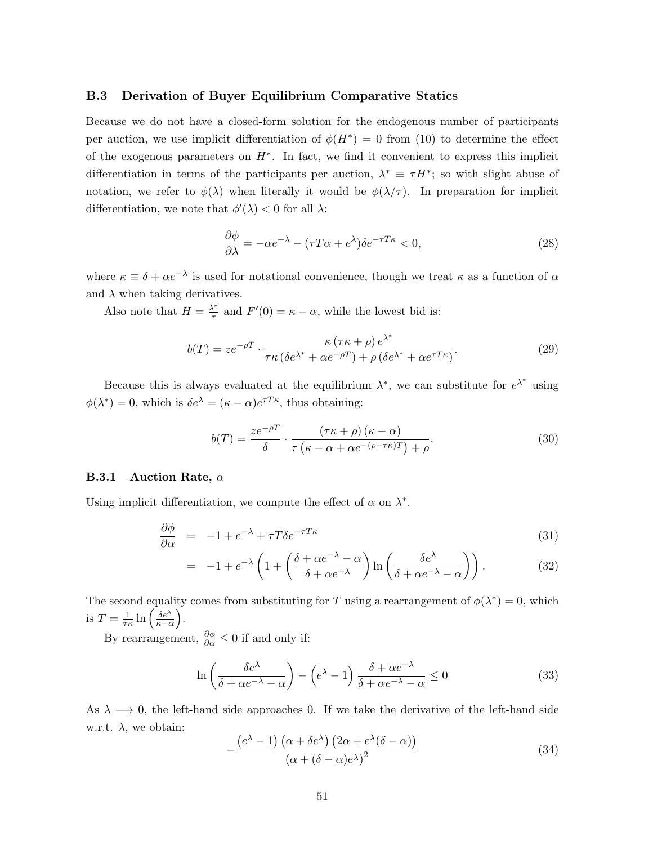### B.3 Derivation of Buyer Equilibrium Comparative Statics

Because we do not have a closed-form solution for the endogenous number of participants per auction, we use implicit differentiation of  $\phi(H^*) = 0$  from (10) to determine the effect of the exogenous parameters on  $H^*$ . In fact, we find it convenient to express this implicit differentiation in terms of the participants per auction,  $\lambda^* \equiv \tau H^*$ ; so with slight abuse of notation, we refer to  $\phi(\lambda)$  when literally it would be  $\phi(\lambda/\tau)$ . In preparation for implicit differentiation, we note that  $\phi'(\lambda) < 0$  for all  $\lambda$ :

$$
\frac{\partial \phi}{\partial \lambda} = -\alpha e^{-\lambda} - (\tau T \alpha + e^{\lambda}) \delta e^{-\tau T \kappa} < 0,\tag{28}
$$

where  $\kappa \equiv \delta + \alpha e^{-\lambda}$  is used for notational convenience, though we treat  $\kappa$  as a function of  $\alpha$ and  $\lambda$  when taking derivatives.

Also note that  $H = \frac{\lambda^*}{\tau}$  $\frac{\lambda^*}{\tau}$  and  $F'(0) = \kappa - \alpha$ , while the lowest bid is:

$$
b(T) = ze^{-\rho T} \cdot \frac{\kappa (\tau \kappa + \rho) e^{\lambda^*}}{\tau \kappa (\delta e^{\lambda^*} + \alpha e^{-\rho T}) + \rho (\delta e^{\lambda^*} + \alpha e^{\tau T \kappa})}.
$$
\n(29)

Because this is always evaluated at the equilibrium  $\lambda^*$ , we can substitute for  $e^{\lambda^*}$  using  $\phi(\lambda^*) = 0$ , which is  $\delta e^{\lambda} = (\kappa - \alpha) e^{\tau T \kappa}$ , thus obtaining:

$$
b(T) = \frac{ze^{-\rho T}}{\delta} \cdot \frac{(\tau \kappa + \rho)(\kappa - \alpha)}{\tau (\kappa - \alpha + \alpha e^{-(\rho - \tau \kappa)T}) + \rho}.
$$
\n(30)

#### **B.3.1** Auction Rate,  $\alpha$

Using implicit differentiation, we compute the effect of  $\alpha$  on  $\lambda^*$ .

$$
\frac{\partial \phi}{\partial \alpha} = -1 + e^{-\lambda} + \tau T \delta e^{-\tau T \kappa} \tag{31}
$$

$$
= -1 + e^{-\lambda} \left( 1 + \left( \frac{\delta + \alpha e^{-\lambda} - \alpha}{\delta + \alpha e^{-\lambda}} \right) \ln \left( \frac{\delta e^{\lambda}}{\delta + \alpha e^{-\lambda} - \alpha} \right) \right). \tag{32}
$$

The second equality comes from substituting for T using a rearrangement of  $\phi(\lambda^*) = 0$ , which is  $T=\frac{1}{\tau}$  $\frac{1}{\tau\kappa} \ln\left(\frac{\delta e^{\lambda}}{\kappa - \epsilon}\right)$  $\frac{\delta e^{\lambda}}{\kappa - \alpha}$ .

By rearrangement,  $\frac{\partial \phi}{\partial \alpha} \leq 0$  if and only if:

$$
\ln\left(\frac{\delta e^{\lambda}}{\delta + \alpha e^{-\lambda} - \alpha}\right) - \left(e^{\lambda} - 1\right) \frac{\delta + \alpha e^{-\lambda}}{\delta + \alpha e^{-\lambda} - \alpha} \le 0 \tag{33}
$$

As  $\lambda \longrightarrow 0$ , the left-hand side approaches 0. If we take the derivative of the left-hand side w.r.t.  $\lambda$ , we obtain:

$$
-\frac{\left(e^{\lambda}-1\right)\left(\alpha+\delta e^{\lambda}\right)\left(2\alpha+e^{\lambda}(\delta-\alpha)\right)}{\left(\alpha+(\delta-\alpha)e^{\lambda}\right)^2}
$$
\n(34)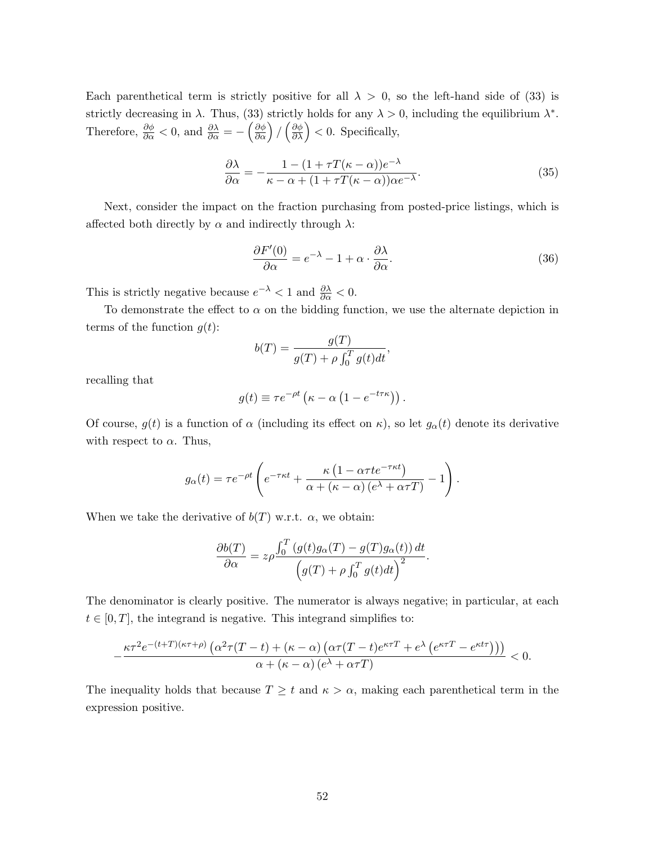Each parenthetical term is strictly positive for all  $\lambda > 0$ , so the left-hand side of (33) is strictly decreasing in  $\lambda$ . Thus, (33) strictly holds for any  $\lambda > 0$ , including the equilibrium  $\lambda^*$ . Therefore,  $\frac{\partial \phi}{\partial \alpha} < 0$ , and  $\frac{\partial \lambda}{\partial \alpha} = -\left(\frac{\partial \phi}{\partial \alpha}\right) / \left(\frac{\partial \phi}{\partial \lambda}\right) < 0$ . Specifically,

$$
\frac{\partial \lambda}{\partial \alpha} = -\frac{1 - (1 + \tau T(\kappa - \alpha))e^{-\lambda}}{\kappa - \alpha + (1 + \tau T(\kappa - \alpha))\alpha e^{-\lambda}}.
$$
\n(35)

Next, consider the impact on the fraction purchasing from posted-price listings, which is affected both directly by  $\alpha$  and indirectly through  $\lambda$ :

$$
\frac{\partial F'(0)}{\partial \alpha} = e^{-\lambda} - 1 + \alpha \cdot \frac{\partial \lambda}{\partial \alpha}.\tag{36}
$$

This is strictly negative because  $e^{-\lambda} < 1$  and  $\frac{\partial \lambda}{\partial \alpha} < 0$ .

To demonstrate the effect to  $\alpha$  on the bidding function, we use the alternate depiction in terms of the function  $g(t)$ :

$$
b(T) = \frac{g(T)}{g(T) + \rho \int_0^T g(t)dt},
$$

recalling that

$$
g(t) \equiv \tau e^{-\rho t} \left( \kappa - \alpha \left( 1 - e^{-t \tau \kappa} \right) \right).
$$

Of course,  $g(t)$  is a function of  $\alpha$  (including its effect on  $\kappa$ ), so let  $g_{\alpha}(t)$  denote its derivative with respect to  $\alpha$ . Thus,

$$
g_{\alpha}(t) = \tau e^{-\rho t} \left( e^{-\tau \kappa t} + \frac{\kappa (1 - \alpha \tau t e^{-\tau \kappa t})}{\alpha + (\kappa - \alpha) (e^{\lambda} + \alpha \tau T)} - 1 \right).
$$

When we take the derivative of  $b(T)$  w.r.t.  $\alpha$ , we obtain:

$$
\frac{\partial b(T)}{\partial \alpha} = z \rho \frac{\int_0^T (g(t)g_\alpha(T) - g(T)g_\alpha(t)) dt}{\left(g(T) + \rho \int_0^T g(t) dt\right)^2}.
$$

The denominator is clearly positive. The numerator is always negative; in particular, at each  $t \in [0, T]$ , the integrand is negative. This integrand simplifies to:

$$
-\frac{\kappa\tau^2e^{-(t+T)(\kappa\tau+\rho)}\left(\alpha^2\tau(T-t)+(\kappa-\alpha)\left(\alpha\tau(T-t)e^{\kappa\tau T}+e^{\lambda}\left(e^{\kappa\tau T}-e^{\kappa t\tau}\right)\right)\right)}{\alpha+(\kappa-\alpha)\left(e^{\lambda}+\alpha\tau T\right)}<0.
$$

The inequality holds that because  $T \geq t$  and  $\kappa > \alpha$ , making each parenthetical term in the expression positive.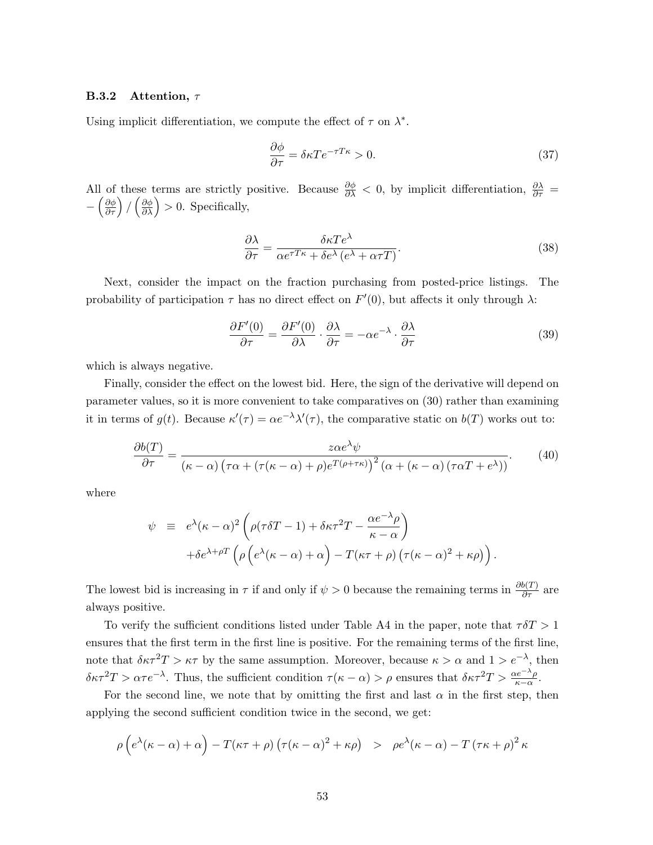### **B.3.2** Attention,  $\tau$

Using implicit differentiation, we compute the effect of  $\tau$  on  $\lambda^*$ .

$$
\frac{\partial \phi}{\partial \tau} = \delta \kappa T e^{-\tau T \kappa} > 0. \tag{37}
$$

All of these terms are strictly positive. Because  $\frac{\partial \phi}{\partial \lambda} < 0$ , by implicit differentiation,  $\frac{\partial \lambda}{\partial \tau} =$  $-\left(\frac{\partial \phi}{\partial \tau}\right) / \left(\frac{\partial \phi}{\partial \lambda}\right) > 0$ . Specifically,

$$
\frac{\partial \lambda}{\partial \tau} = \frac{\delta \kappa T e^{\lambda}}{\alpha e^{\tau T \kappa} + \delta e^{\lambda} (e^{\lambda} + \alpha \tau T)}.
$$
\n(38)

Next, consider the impact on the fraction purchasing from posted-price listings. The probability of participation  $\tau$  has no direct effect on  $F'(0)$ , but affects it only through  $\lambda$ :

$$
\frac{\partial F'(0)}{\partial \tau} = \frac{\partial F'(0)}{\partial \lambda} \cdot \frac{\partial \lambda}{\partial \tau} = -\alpha e^{-\lambda} \cdot \frac{\partial \lambda}{\partial \tau}
$$
(39)

which is always negative.

Finally, consider the effect on the lowest bid. Here, the sign of the derivative will depend on parameter values, so it is more convenient to take comparatives on (30) rather than examining it in terms of  $g(t)$ . Because  $\kappa'(\tau) = \alpha e^{-\lambda} \lambda'(\tau)$ , the comparative static on  $b(T)$  works out to:

$$
\frac{\partial b(T)}{\partial \tau} = \frac{z\alpha e^{\lambda}\psi}{\left(\kappa - \alpha\right)\left(\tau\alpha + \left(\tau(\kappa - \alpha) + \rho\right)e^{T(\rho + \tau\kappa)}\right)^2\left(\alpha + \left(\kappa - \alpha\right)\left(\tau\alpha T + e^{\lambda}\right)\right)}.\tag{40}
$$

where

$$
\psi = e^{\lambda} (\kappa - \alpha)^2 \left( \rho (\tau \delta T - 1) + \delta \kappa \tau^2 T - \frac{\alpha e^{-\lambda} \rho}{\kappa - \alpha} \right) \n+ \delta e^{\lambda + \rho T} \left( \rho \left( e^{\lambda} (\kappa - \alpha) + \alpha \right) - T (\kappa \tau + \rho) \left( \tau (\kappa - \alpha)^2 + \kappa \rho \right) \right).
$$

The lowest bid is increasing in  $\tau$  if and only if  $\psi > 0$  because the remaining terms in  $\frac{\partial b(T)}{\partial \tau}$  are always positive.

To verify the sufficient conditions listed under Table A4 in the paper, note that  $\tau \delta T > 1$ ensures that the first term in the first line is positive. For the remaining terms of the first line, note that  $\delta \kappa \tau^2 T > \kappa \tau$  by the same assumption. Moreover, because  $\kappa > \alpha$  and  $1 > e^{-\lambda}$ , then  $\delta \kappa \tau^2 T > \alpha \tau e^{-\lambda}$ . Thus, the sufficient condition  $\tau(\kappa - \alpha) > \rho$  ensures that  $\delta \kappa \tau^2 T > \frac{\alpha e^{-\lambda} \rho}{\kappa - \alpha}$ .

For the second line, we note that by omitting the first and last  $\alpha$  in the first step, then applying the second sufficient condition twice in the second, we get:

$$
\rho \left( e^{\lambda} (\kappa - \alpha) + \alpha \right) - T(\kappa \tau + \rho) \left( \tau (\kappa - \alpha)^2 + \kappa \rho \right) > \rho e^{\lambda} (\kappa - \alpha) - T (\tau \kappa + \rho)^2 \kappa
$$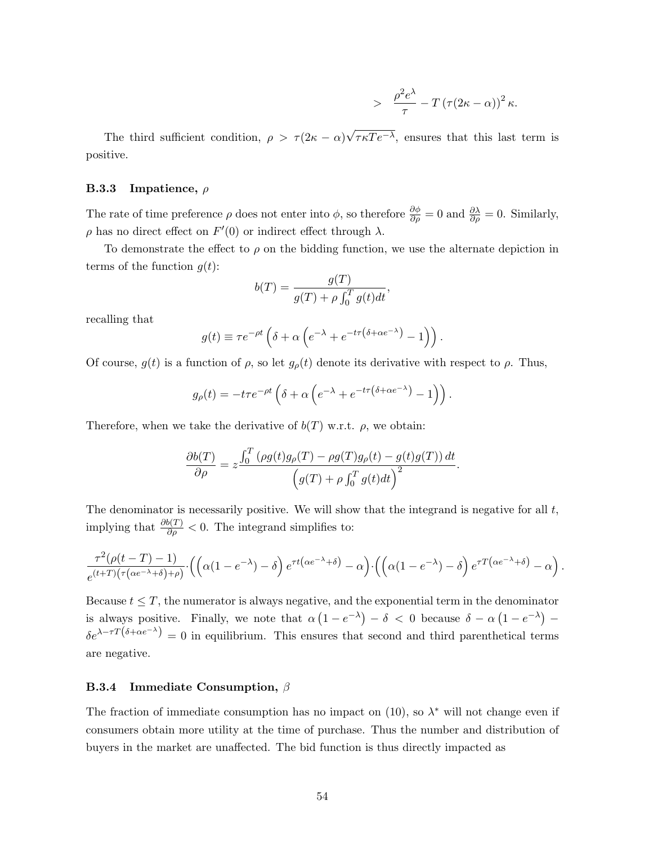$$
- \frac{\rho^2 e^{\lambda}}{\tau} - T (\tau (2\kappa - \alpha))^2 \kappa.
$$

The third sufficient condition,  $\rho > \tau(2\kappa - \alpha)$ √  $\tau \kappa T e^{-\lambda}$ , ensures that this last term is positive.

### **B.3.3** Impatience,  $\rho$

The rate of time preference  $\rho$  does not enter into  $\phi$ , so therefore  $\frac{\partial \phi}{\partial \rho} = 0$  and  $\frac{\partial \lambda}{\partial \rho} = 0$ . Similarly,  $ρ$  has no direct effect on  $F'(0)$  or indirect effect through  $λ$ .

To demonstrate the effect to  $\rho$  on the bidding function, we use the alternate depiction in terms of the function  $g(t)$ :

$$
b(T) = \frac{g(T)}{g(T) + \rho \int_0^T g(t)dt},
$$

recalling that

$$
g(t) \equiv \tau e^{-\rho t} \left( \delta + \alpha \left( e^{-\lambda} + e^{-t\tau (\delta + \alpha e^{-\lambda})} - 1 \right) \right).
$$

Of course,  $g(t)$  is a function of  $\rho$ , so let  $g_{\rho}(t)$  denote its derivative with respect to  $\rho$ . Thus,

$$
g_{\rho}(t) = -t\tau e^{-\rho t} \left( \delta + \alpha \left( e^{-\lambda} + e^{-t\tau (\delta + \alpha e^{-\lambda})} - 1 \right) \right).
$$

Therefore, when we take the derivative of  $b(T)$  w.r.t.  $\rho$ , we obtain:

$$
\frac{\partial b(T)}{\partial \rho} = z \frac{\int_0^T \left(\rho g(t)g_\rho(T) - \rho g(T)g_\rho(t) - g(t)g(T)\right) dt}{\left(g(T) + \rho \int_0^T g(t)dt\right)^2}.
$$

The denominator is necessarily positive. We will show that the integrand is negative for all  $t$ , implying that  $\frac{\partial b(T)}{\partial \rho} < 0$ . The integrand simplifies to:

$$
\frac{\tau^2(\rho(t-T)-1)}{e^{(t+T)(\tau(\alpha e^{-\lambda}+\delta)+\rho)}}\cdot\left(\left(\alpha(1-e^{-\lambda})-\delta\right)e^{\tau t(\alpha e^{-\lambda}+\delta)}-\alpha\right)\cdot\left(\left(\alpha(1-e^{-\lambda})-\delta\right)e^{\tau T(\alpha e^{-\lambda}+\delta)}-\alpha\right).
$$

Because  $t \leq T$ , the numerator is always negative, and the exponential term in the denominator is always positive. Finally, we note that  $\alpha(1-e^{-\lambda})-\delta < 0$  because  $\delta - \alpha(1-e^{-\lambda})$  $\delta e^{\lambda - \tau T(\delta + \alpha e^{-\lambda})} = 0$  in equilibrium. This ensures that second and third parenthetical terms are negative.

### **B.3.4** Immediate Consumption,  $\beta$

The fraction of immediate consumption has no impact on  $(10)$ , so  $\lambda^*$  will not change even if consumers obtain more utility at the time of purchase. Thus the number and distribution of buyers in the market are unaffected. The bid function is thus directly impacted as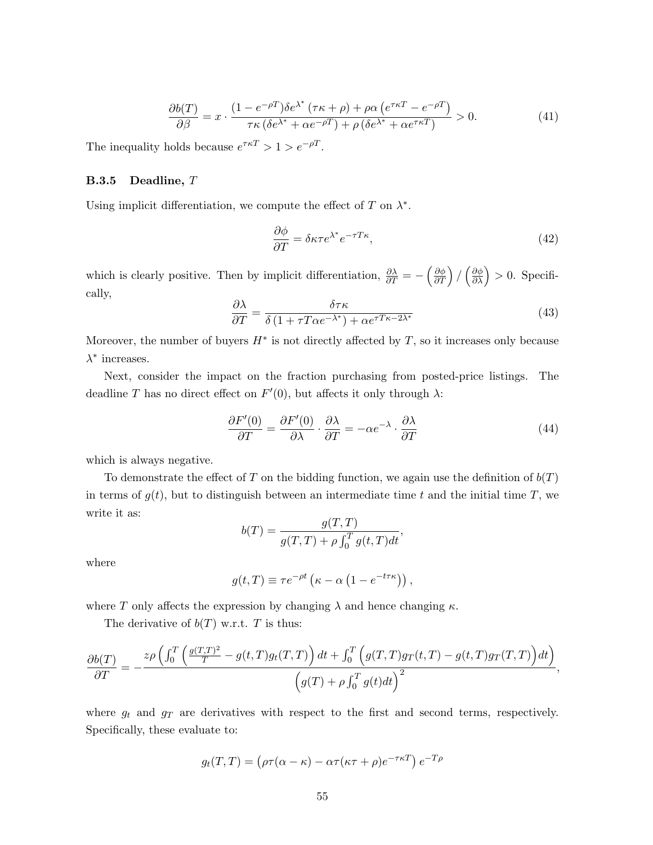$$
\frac{\partial b(T)}{\partial \beta} = x \cdot \frac{(1 - e^{-\rho T})\delta e^{\lambda^*} (\tau \kappa + \rho) + \rho \alpha \left( e^{\tau \kappa T} - e^{-\rho T} \right)}{\tau \kappa \left( \delta e^{\lambda^*} + \alpha e^{-\rho T} \right) + \rho \left( \delta e^{\lambda^*} + \alpha e^{\tau \kappa T} \right)} > 0.
$$
\n(41)

The inequality holds because  $e^{\tau \kappa T} > 1 > e^{-\rho T}$ .

### B.3.5 Deadline, T

Using implicit differentiation, we compute the effect of  $T$  on  $\lambda^*$ .

$$
\frac{\partial \phi}{\partial T} = \delta \kappa \tau e^{\lambda^*} e^{-\tau T \kappa},\tag{42}
$$

which is clearly positive. Then by implicit differentiation,  $\frac{\partial \lambda}{\partial T} = -\left(\frac{\partial \phi}{\partial T}\right) / \left(\frac{\partial \phi}{\partial \lambda}\right) > 0$ . Specifically,

$$
\frac{\partial \lambda}{\partial T} = \frac{\delta \tau \kappa}{\delta \left( 1 + \tau T \alpha e^{-\lambda^*} \right) + \alpha e^{\tau T \kappa - 2\lambda^*}} \tag{43}
$$

Moreover, the number of buyers  $H^*$  is not directly affected by T, so it increases only because  $\lambda^*$  increases.

Next, consider the impact on the fraction purchasing from posted-price listings. The deadline T has no direct effect on  $F'(0)$ , but affects it only through  $\lambda$ :

$$
\frac{\partial F'(0)}{\partial T} = \frac{\partial F'(0)}{\partial \lambda} \cdot \frac{\partial \lambda}{\partial T} = -\alpha e^{-\lambda} \cdot \frac{\partial \lambda}{\partial T}
$$
(44)

which is always negative.

To demonstrate the effect of T on the bidding function, we again use the definition of  $b(T)$ in terms of  $g(t)$ , but to distinguish between an intermediate time t and the initial time T, we write it as:

$$
b(T) = \frac{g(T,T)}{g(T,T) + \rho \int_0^T g(t,T)dt},
$$

where

$$
g(t,T) \equiv \tau e^{-\rho t} \left( \kappa - \alpha \left( 1 - e^{-t \tau \kappa} \right) \right),
$$

where T only affects the expression by changing  $\lambda$  and hence changing  $\kappa$ .

The derivative of  $b(T)$  w.r.t. T is thus:

$$
\frac{\partial b(T)}{\partial T} = -\frac{z\rho \left( \int_0^T \left( \frac{g(T,T)^2}{T} - g(t,T)g_t(T,T) \right) dt + \int_0^T \left( g(T,T)g_T(t,T) - g(t,T)g_T(T,T) \right) dt \right)}{\left( g(T) + \rho \int_0^T g(t)dt \right)^2},
$$

where  $g_t$  and  $g_T$  are derivatives with respect to the first and second terms, respectively. Specifically, these evaluate to:

$$
g_t(T,T) = (\rho \tau(\alpha - \kappa) - \alpha \tau(\kappa \tau + \rho)e^{-\tau \kappa T}) e^{-T\rho}
$$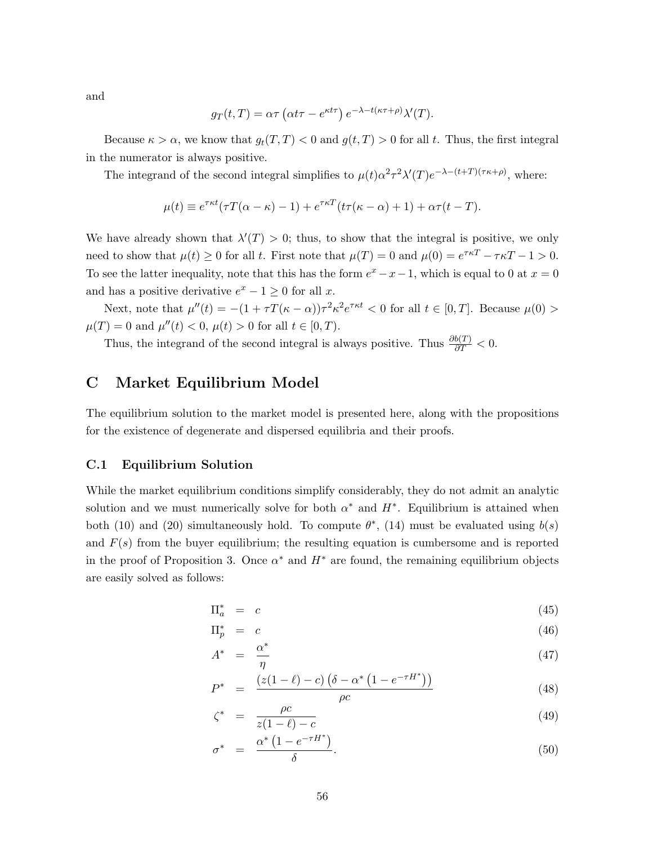and

$$
g_T(t,T) = \alpha \tau \left(\alpha t \tau - e^{\kappa t \tau}\right) e^{-\lambda - t(\kappa \tau + \rho)} \lambda'(T).
$$

Because  $\kappa > \alpha$ , we know that  $g_t(T, T) < 0$  and  $g(t, T) > 0$  for all t. Thus, the first integral in the numerator is always positive.

The integrand of the second integral simplifies to  $\mu(t)\alpha^2\tau^2\lambda'(T)e^{-\lambda-(t+T)(\tau\kappa+\rho)}$ , where:

$$
\mu(t) \equiv e^{\tau \kappa t} (\tau T(\alpha - \kappa) - 1) + e^{\tau \kappa T} (t \tau (\kappa - \alpha) + 1) + \alpha \tau (t - T).
$$

We have already shown that  $\lambda'(T) > 0$ ; thus, to show that the integral is positive, we only need to show that  $\mu(t) \geq 0$  for all t. First note that  $\mu(T) = 0$  and  $\mu(0) = e^{\tau \kappa T} - \tau \kappa T - 1 > 0$ . To see the latter inequality, note that this has the form  $e^x - x - 1$ , which is equal to 0 at  $x = 0$ and has a positive derivative  $e^x - 1 \geq 0$  for all x.

Next, note that  $\mu''(t) = -(1 + \tau T(\kappa - \alpha))\tau^2 \kappa^2 e^{\tau \kappa t} < 0$  for all  $t \in [0, T]$ . Because  $\mu(0) >$  $\mu(T) = 0$  and  $\mu''(t) < 0, \mu(t) > 0$  for all  $t \in [0, T)$ .

Thus, the integrand of the second integral is always positive. Thus  $\frac{\partial b(T)}{\partial T} < 0$ .

# C Market Equilibrium Model

The equilibrium solution to the market model is presented here, along with the propositions for the existence of degenerate and dispersed equilibria and their proofs.

### C.1 Equilibrium Solution

While the market equilibrium conditions simplify considerably, they do not admit an analytic solution and we must numerically solve for both  $\alpha^*$  and  $H^*$ . Equilibrium is attained when both (10) and (20) simultaneously hold. To compute  $\theta^*$ , (14) must be evaluated using  $b(s)$ and  $F(s)$  from the buyer equilibrium; the resulting equation is cumbersome and is reported in the proof of Proposition 3. Once  $\alpha^*$  and  $H^*$  are found, the remaining equilibrium objects are easily solved as follows:

$$
\Pi_a^* = c \tag{45}
$$

$$
\Pi_p^* = c \tag{46}
$$

$$
A^* = \frac{\alpha^*}{\eta} \tag{47}
$$

$$
P^* = \frac{(z(1-\ell) - c) (\delta - \alpha^* (1 - e^{-\tau H^*}))}{\rho c}
$$
\n(48)

$$
\zeta^* = \frac{\rho c}{z(1-\ell) - c} \tag{49}
$$

$$
\sigma^* = \frac{\alpha^* \left(1 - e^{-\tau H^*}\right)}{\delta}.
$$
\n(50)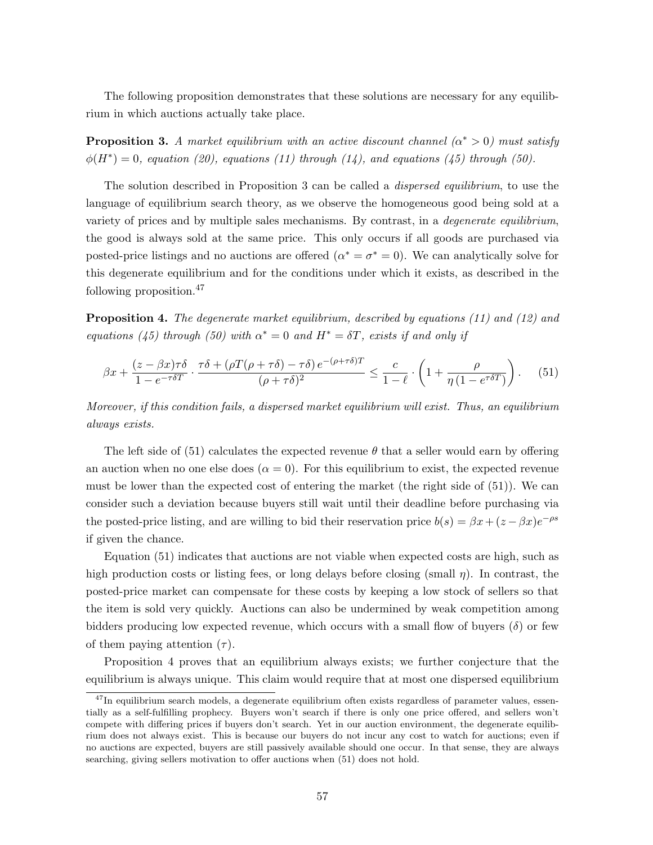The following proposition demonstrates that these solutions are necessary for any equilibrium in which auctions actually take place.

**Proposition 3.** A market equilibrium with an active discount channel  $(\alpha^* > 0)$  must satisfy  $\phi(H^*) = 0$ , equation (20), equations (11) through (14), and equations (45) through (50).

The solution described in Proposition 3 can be called a *dispersed equilibrium*, to use the language of equilibrium search theory, as we observe the homogeneous good being sold at a variety of prices and by multiple sales mechanisms. By contrast, in a *degenerate equilibrium*, the good is always sold at the same price. This only occurs if all goods are purchased via posted-price listings and no auctions are offered  $(\alpha^* = \sigma^* = 0)$ . We can analytically solve for this degenerate equilibrium and for the conditions under which it exists, as described in the following proposition.<sup>47</sup>

Proposition 4. The degenerate market equilibrium, described by equations (11) and (12) and equations (45) through (50) with  $\alpha^* = 0$  and  $H^* = \delta T$ , exists if and only if

$$
\beta x + \frac{(z - \beta x)\tau\delta}{1 - e^{-\tau\delta T}} \cdot \frac{\tau\delta + (\rho T(\rho + \tau\delta) - \tau\delta) e^{-(\rho + \tau\delta)T}}{(\rho + \tau\delta)^2} \le \frac{c}{1 - \ell} \cdot \left(1 + \frac{\rho}{\eta \left(1 - e^{\tau\delta T}\right)}\right). \tag{51}
$$

Moreover, if this condition fails, a dispersed market equilibrium will exist. Thus, an equilibrium always exists.

The left side of (51) calculates the expected revenue  $\theta$  that a seller would earn by offering an auction when no one else does  $(\alpha = 0)$ . For this equilibrium to exist, the expected revenue must be lower than the expected cost of entering the market (the right side of (51)). We can consider such a deviation because buyers still wait until their deadline before purchasing via the posted-price listing, and are willing to bid their reservation price  $b(s) = \beta x + (z - \beta x)e^{-\rho s}$ if given the chance.

Equation (51) indicates that auctions are not viable when expected costs are high, such as high production costs or listing fees, or long delays before closing (small  $\eta$ ). In contrast, the posted-price market can compensate for these costs by keeping a low stock of sellers so that the item is sold very quickly. Auctions can also be undermined by weak competition among bidders producing low expected revenue, which occurs with a small flow of buyers  $(\delta)$  or few of them paying attention  $(\tau)$ .

Proposition 4 proves that an equilibrium always exists; we further conjecture that the equilibrium is always unique. This claim would require that at most one dispersed equilibrium

<sup>&</sup>lt;sup>47</sup>In equilibrium search models, a degenerate equilibrium often exists regardless of parameter values, essentially as a self-fulfilling prophecy. Buyers won't search if there is only one price offered, and sellers won't compete with differing prices if buyers don't search. Yet in our auction environment, the degenerate equilibrium does not always exist. This is because our buyers do not incur any cost to watch for auctions; even if no auctions are expected, buyers are still passively available should one occur. In that sense, they are always searching, giving sellers motivation to offer auctions when (51) does not hold.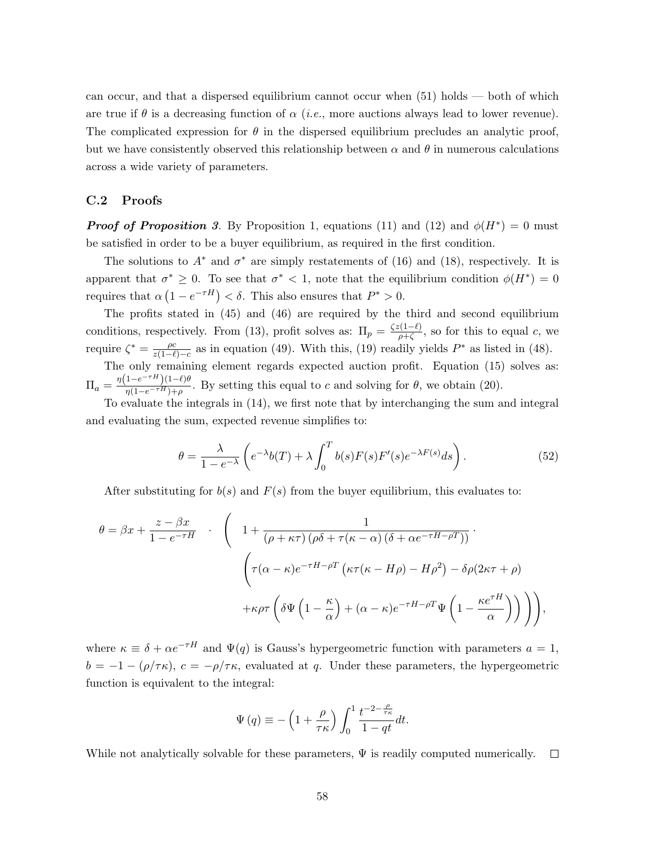can occur, and that a dispersed equilibrium cannot occur when (51) holds — both of which are true if  $\theta$  is a decreasing function of  $\alpha$  (*i.e.*, more auctions always lead to lower revenue). The complicated expression for  $\theta$  in the dispersed equilibrium precludes an analytic proof, but we have consistently observed this relationship between  $\alpha$  and  $\theta$  in numerous calculations across a wide variety of parameters.

### C.2 Proofs

**Proof of Proposition 3.** By Proposition 1, equations (11) and (12) and  $\phi(H^*) = 0$  must be satisfied in order to be a buyer equilibrium, as required in the first condition.

The solutions to  $A^*$  and  $\sigma^*$  are simply restatements of (16) and (18), respectively. It is apparent that  $\sigma^* \geq 0$ . To see that  $\sigma^* < 1$ , note that the equilibrium condition  $\phi(H^*) = 0$ requires that  $\alpha(1 - e^{-\tau H}) < \delta$ . This also ensures that  $P^* > 0$ .

The profits stated in (45) and (46) are required by the third and second equilibrium conditions, respectively. From (13), profit solves as:  $\Pi_p = \frac{\zeta z (1-\ell)}{q+\zeta}$  $\frac{\partial (1-\ell)}{\partial + \zeta}$ , so for this to equal c, we require  $\zeta^* = \frac{\rho c}{\gamma(1-\ell)}$  $\frac{\rho c}{z(1-\ell)-c}$  as in equation (49). With this, (19) readily yields P<sup>\*</sup> as listed in (48).

The only remaining element regards expected auction profit. Equation (15) solves as:  $\Pi_a = \frac{\eta(1 - e^{-\tau H})(1 - \ell)\theta}{n(1 - e^{-\tau H}) + o}$  $\frac{1-e^{-\tau H}}{\eta(1-e^{-\tau H})+\rho}$ . By setting this equal to c and solving for  $\theta$ , we obtain (20).

To evaluate the integrals in (14), we first note that by interchanging the sum and integral and evaluating the sum, expected revenue simplifies to:

$$
\theta = \frac{\lambda}{1 - e^{-\lambda}} \left( e^{-\lambda} b(T) + \lambda \int_0^T b(s) F(s) F'(s) e^{-\lambda F(s)} ds \right).
$$
 (52)

After substituting for  $b(s)$  and  $F(s)$  from the buyer equilibrium, this evaluates to:

$$
\theta = \beta x + \frac{z - \beta x}{1 - e^{-\tau H}} \quad . \quad \left( \quad 1 + \frac{1}{(\rho + \kappa \tau) (\rho \delta + \tau (\kappa - \alpha) (\delta + \alpha e^{-\tau H - \rho T}))} \right) \cdot \left( \tau (\alpha - \kappa) e^{-\tau H - \rho T} (\kappa \tau (\kappa - H \rho) - H \rho^2) - \delta \rho (2 \kappa \tau + \rho) + \kappa \rho \tau \left( \delta \Psi \left( 1 - \frac{\kappa}{\alpha} \right) + (\alpha - \kappa) e^{-\tau H - \rho T} \Psi \left( 1 - \frac{\kappa e^{\tau H}}{\alpha} \right) \right) \right),
$$

where  $\kappa \equiv \delta + \alpha e^{-\tau H}$  and  $\Psi(q)$  is Gauss's hypergeometric function with parameters  $a = 1$ ,  $b = -1 - (\rho/\tau \kappa)$ ,  $c = -\rho/\tau \kappa$ , evaluated at q. Under these parameters, the hypergeometric function is equivalent to the integral:

$$
\Psi(q) \equiv -\left(1 + \frac{\rho}{\tau \kappa}\right) \int_0^1 \frac{t^{-2 - \frac{\rho}{\tau \kappa}}}{1 - qt} dt.
$$

While not analytically solvable for these parameters,  $\Psi$  is readily computed numerically.  $\Box$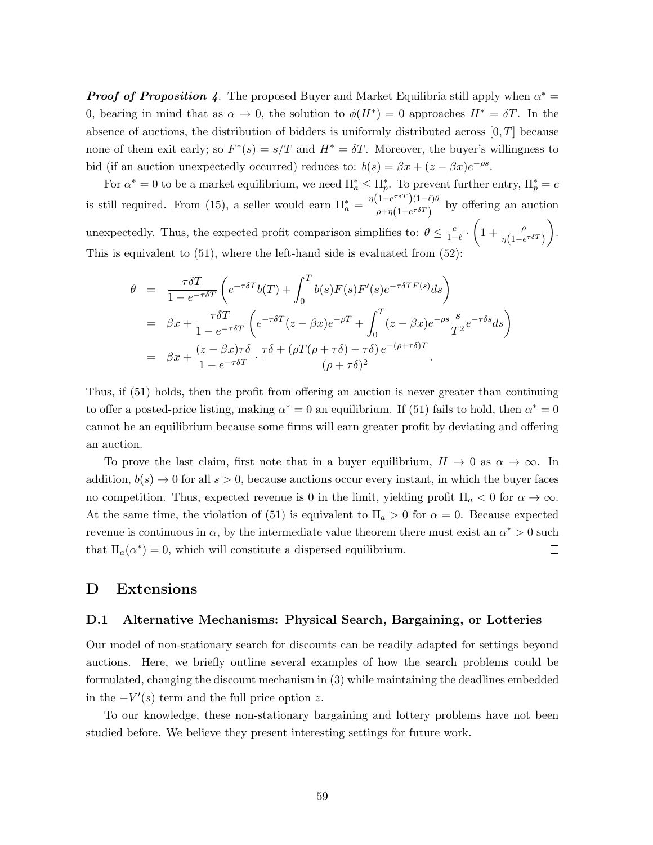**Proof of Proposition 4.** The proposed Buyer and Market Equilibria still apply when  $\alpha^* =$ 0, bearing in mind that as  $\alpha \to 0$ , the solution to  $\phi(H^*) = 0$  approaches  $H^* = \delta T$ . In the absence of auctions, the distribution of bidders is uniformly distributed across  $[0, T]$  because none of them exit early; so  $F^*(s) = s/T$  and  $H^* = \delta T$ . Moreover, the buyer's willingness to bid (if an auction unexpectedly occurred) reduces to:  $b(s) = \beta x + (z - \beta x)e^{-\rho s}$ .

For  $\alpha^* = 0$  to be a market equilibrium, we need  $\Pi_a^* \leq \Pi_p^*$ . To prevent further entry,  $\Pi_p^* = c$ is still required. From (15), a seller would earn  $\Pi_a^* = \frac{\eta(1 - e^{\tau \delta T})(1 - \ell)\theta}{\theta + \eta(1 - e^{\tau \delta T})}$  $\frac{1-e^{-t}}{\rho+\eta(1-e^{-\delta T})}$  by offering an auction unexpectedly. Thus, the expected profit comparison simplifies to:  $\theta \leq \frac{c}{1-\ell} \cdot \left(1 + \frac{\rho}{\eta(1-e^{\tau \delta T})}\right)$  . This is equivalent to  $(51)$ , where the left-hand side is evaluated from  $(52)$ :

$$
\theta = \frac{\tau \delta T}{1 - e^{-\tau \delta T}} \left( e^{-\tau \delta T} b(T) + \int_0^T b(s) F(s) F'(s) e^{-\tau \delta T F(s)} ds \right)
$$
  
\n
$$
= \beta x + \frac{\tau \delta T}{1 - e^{-\tau \delta T}} \left( e^{-\tau \delta T} (z - \beta x) e^{-\rho T} + \int_0^T (z - \beta x) e^{-\rho s} \frac{s}{T^2} e^{-\tau \delta s} ds \right)
$$
  
\n
$$
= \beta x + \frac{(z - \beta x) \tau \delta}{1 - e^{-\tau \delta T}} \cdot \frac{\tau \delta + (\rho T (\rho + \tau \delta) - \tau \delta) e^{-(\rho + \tau \delta)T}}{(\rho + \tau \delta)^2}.
$$

Thus, if (51) holds, then the profit from offering an auction is never greater than continuing to offer a posted-price listing, making  $\alpha^* = 0$  an equilibrium. If (51) fails to hold, then  $\alpha^* = 0$ cannot be an equilibrium because some firms will earn greater profit by deviating and offering an auction.

To prove the last claim, first note that in a buyer equilibrium,  $H \to 0$  as  $\alpha \to \infty$ . In addition,  $b(s) \to 0$  for all  $s > 0$ , because auctions occur every instant, in which the buyer faces no competition. Thus, expected revenue is 0 in the limit, yielding profit  $\Pi_a < 0$  for  $\alpha \to \infty$ . At the same time, the violation of (51) is equivalent to  $\Pi_a > 0$  for  $\alpha = 0$ . Because expected revenue is continuous in  $\alpha$ , by the intermediate value theorem there must exist an  $\alpha^* > 0$  such that  $\Pi_a(\alpha^*) = 0$ , which will constitute a dispersed equilibrium.  $\Box$ 

### D Extensions

### D.1 Alternative Mechanisms: Physical Search, Bargaining, or Lotteries

Our model of non-stationary search for discounts can be readily adapted for settings beyond auctions. Here, we briefly outline several examples of how the search problems could be formulated, changing the discount mechanism in (3) while maintaining the deadlines embedded in the  $-V'(s)$  term and the full price option z.

To our knowledge, these non-stationary bargaining and lottery problems have not been studied before. We believe they present interesting settings for future work.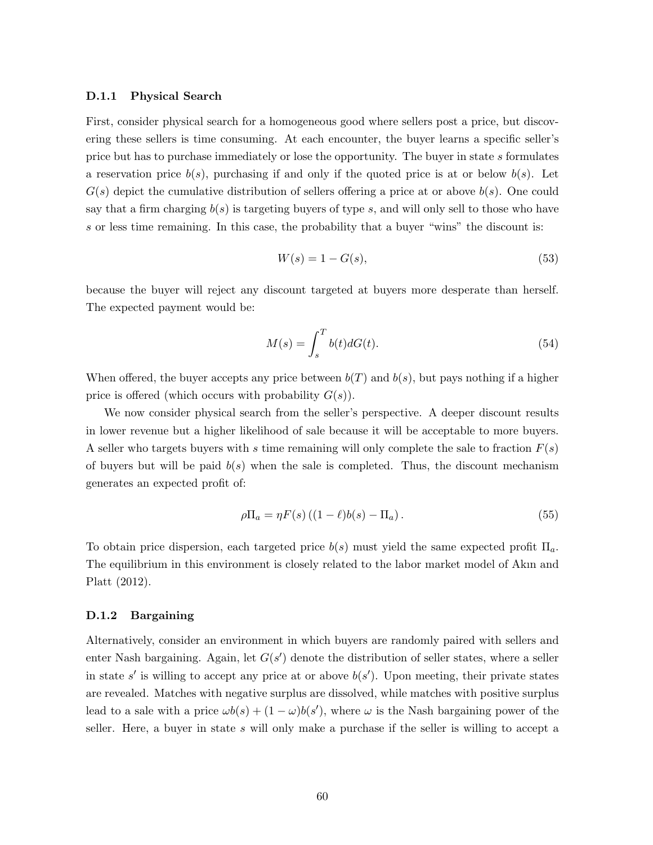### D.1.1 Physical Search

First, consider physical search for a homogeneous good where sellers post a price, but discovering these sellers is time consuming. At each encounter, the buyer learns a specific seller's price but has to purchase immediately or lose the opportunity. The buyer in state s formulates a reservation price  $b(s)$ , purchasing if and only if the quoted price is at or below  $b(s)$ . Let  $G(s)$  depict the cumulative distribution of sellers offering a price at or above  $b(s)$ . One could say that a firm charging  $b(s)$  is targeting buyers of type s, and will only sell to those who have s or less time remaining. In this case, the probability that a buyer "wins" the discount is:

$$
W(s) = 1 - G(s),\tag{53}
$$

because the buyer will reject any discount targeted at buyers more desperate than herself. The expected payment would be:

$$
M(s) = \int_{s}^{T} b(t)dG(t).
$$
\n(54)

When offered, the buyer accepts any price between  $b(T)$  and  $b(s)$ , but pays nothing if a higher price is offered (which occurs with probability  $G(s)$ ).

We now consider physical search from the seller's perspective. A deeper discount results in lower revenue but a higher likelihood of sale because it will be acceptable to more buyers. A seller who targets buyers with s time remaining will only complete the sale to fraction  $F(s)$ of buyers but will be paid  $b(s)$  when the sale is completed. Thus, the discount mechanism generates an expected profit of:

$$
\rho \Pi_a = \eta F(s) \left( (1 - \ell)b(s) - \Pi_a \right). \tag{55}
$$

To obtain price dispersion, each targeted price  $b(s)$  must yield the same expected profit  $\Pi_a$ . The equilibrium in this environment is closely related to the labor market model of Akın and Platt (2012).

### D.1.2 Bargaining

Alternatively, consider an environment in which buyers are randomly paired with sellers and enter Nash bargaining. Again, let  $G(s')$  denote the distribution of seller states, where a seller in state s' is willing to accept any price at or above  $b(s')$ . Upon meeting, their private states are revealed. Matches with negative surplus are dissolved, while matches with positive surplus lead to a sale with a price  $\omega b(s) + (1 - \omega) b(s')$ , where  $\omega$  is the Nash bargaining power of the seller. Here, a buyer in state s will only make a purchase if the seller is willing to accept a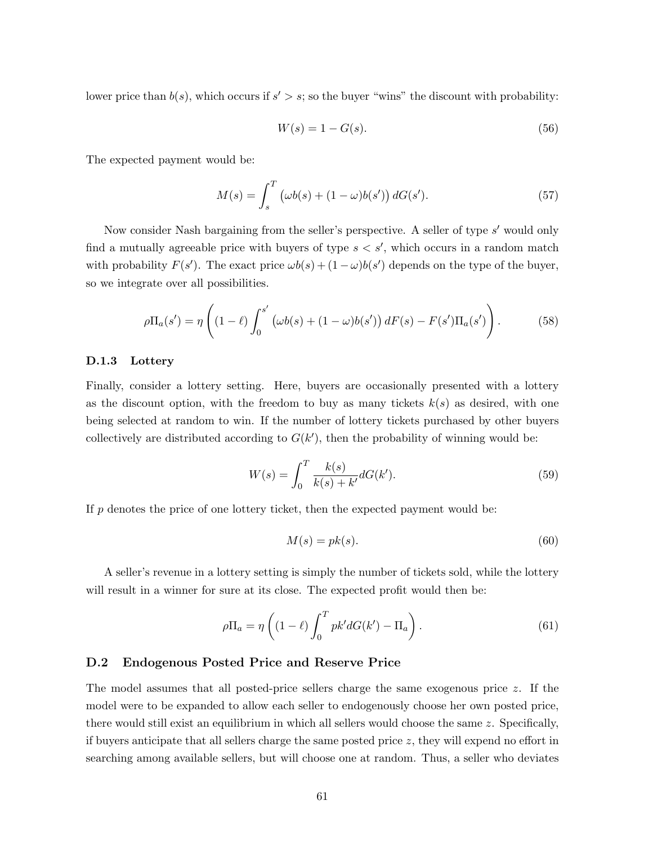lower price than  $b(s)$ , which occurs if  $s' > s$ ; so the buyer "wins" the discount with probability:

$$
W(s) = 1 - G(s).
$$
 (56)

The expected payment would be:

$$
M(s) = \int_{s}^{T} (\omega b(s) + (1 - \omega) b(s')) dG(s').
$$
 (57)

Now consider Nash bargaining from the seller's perspective. A seller of type s' would only find a mutually agreeable price with buyers of type  $s < s'$ , which occurs in a random match with probability  $F(s')$ . The exact price  $\omega b(s) + (1 - \omega) b(s')$  depends on the type of the buyer, so we integrate over all possibilities.

$$
\rho \Pi_a(s') = \eta \left( (1 - \ell) \int_0^{s'} \left( \omega b(s) + (1 - \omega) b(s') \right) dF(s) - F(s') \Pi_a(s') \right). \tag{58}
$$

### D.1.3 Lottery

Finally, consider a lottery setting. Here, buyers are occasionally presented with a lottery as the discount option, with the freedom to buy as many tickets  $k(s)$  as desired, with one being selected at random to win. If the number of lottery tickets purchased by other buyers collectively are distributed according to  $G(k')$ , then the probability of winning would be:

$$
W(s) = \int_0^T \frac{k(s)}{k(s) + k'} dG(k').
$$
\n(59)

If  $p$  denotes the price of one lottery ticket, then the expected payment would be:

$$
M(s) = pk(s). \tag{60}
$$

A seller's revenue in a lottery setting is simply the number of tickets sold, while the lottery will result in a winner for sure at its close. The expected profit would then be:

$$
\rho \Pi_a = \eta \left( (1 - \ell) \int_0^T p k' dG(k') - \Pi_a \right). \tag{61}
$$

### D.2 Endogenous Posted Price and Reserve Price

The model assumes that all posted-price sellers charge the same exogenous price z. If the model were to be expanded to allow each seller to endogenously choose her own posted price, there would still exist an equilibrium in which all sellers would choose the same z. Specifically, if buyers anticipate that all sellers charge the same posted price  $z$ , they will expend no effort in searching among available sellers, but will choose one at random. Thus, a seller who deviates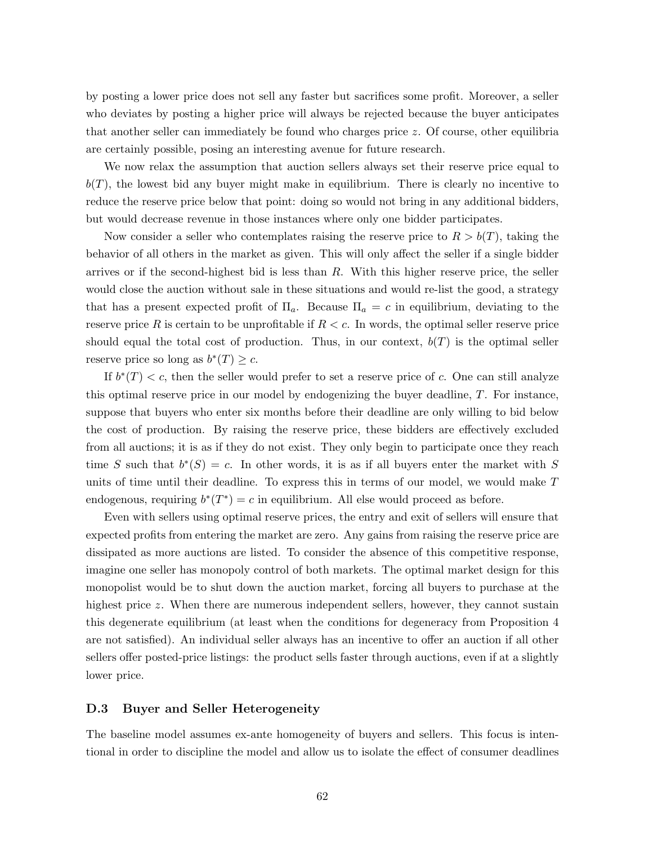by posting a lower price does not sell any faster but sacrifices some profit. Moreover, a seller who deviates by posting a higher price will always be rejected because the buyer anticipates that another seller can immediately be found who charges price z. Of course, other equilibria are certainly possible, posing an interesting avenue for future research.

We now relax the assumption that auction sellers always set their reserve price equal to  $b(T)$ , the lowest bid any buyer might make in equilibrium. There is clearly no incentive to reduce the reserve price below that point: doing so would not bring in any additional bidders, but would decrease revenue in those instances where only one bidder participates.

Now consider a seller who contemplates raising the reserve price to  $R > b(T)$ , taking the behavior of all others in the market as given. This will only affect the seller if a single bidder arrives or if the second-highest bid is less than  $R$ . With this higher reserve price, the seller would close the auction without sale in these situations and would re-list the good, a strategy that has a present expected profit of  $\Pi_a$ . Because  $\Pi_a = c$  in equilibrium, deviating to the reserve price R is certain to be unprofitable if  $R < c$ . In words, the optimal seller reserve price should equal the total cost of production. Thus, in our context,  $b(T)$  is the optimal seller reserve price so long as  $b^*(T) \geq c$ .

If  $b^*(T) < c$ , then the seller would prefer to set a reserve price of c. One can still analyze this optimal reserve price in our model by endogenizing the buyer deadline, T. For instance, suppose that buyers who enter six months before their deadline are only willing to bid below the cost of production. By raising the reserve price, these bidders are effectively excluded from all auctions; it is as if they do not exist. They only begin to participate once they reach time S such that  $b^*(S) = c$ . In other words, it is as if all buyers enter the market with S units of time until their deadline. To express this in terms of our model, we would make T endogenous, requiring  $b^*(T^*) = c$  in equilibrium. All else would proceed as before.

Even with sellers using optimal reserve prices, the entry and exit of sellers will ensure that expected profits from entering the market are zero. Any gains from raising the reserve price are dissipated as more auctions are listed. To consider the absence of this competitive response, imagine one seller has monopoly control of both markets. The optimal market design for this monopolist would be to shut down the auction market, forcing all buyers to purchase at the highest price z. When there are numerous independent sellers, however, they cannot sustain this degenerate equilibrium (at least when the conditions for degeneracy from Proposition 4 are not satisfied). An individual seller always has an incentive to offer an auction if all other sellers offer posted-price listings: the product sells faster through auctions, even if at a slightly lower price.

### D.3 Buyer and Seller Heterogeneity

The baseline model assumes ex-ante homogeneity of buyers and sellers. This focus is intentional in order to discipline the model and allow us to isolate the effect of consumer deadlines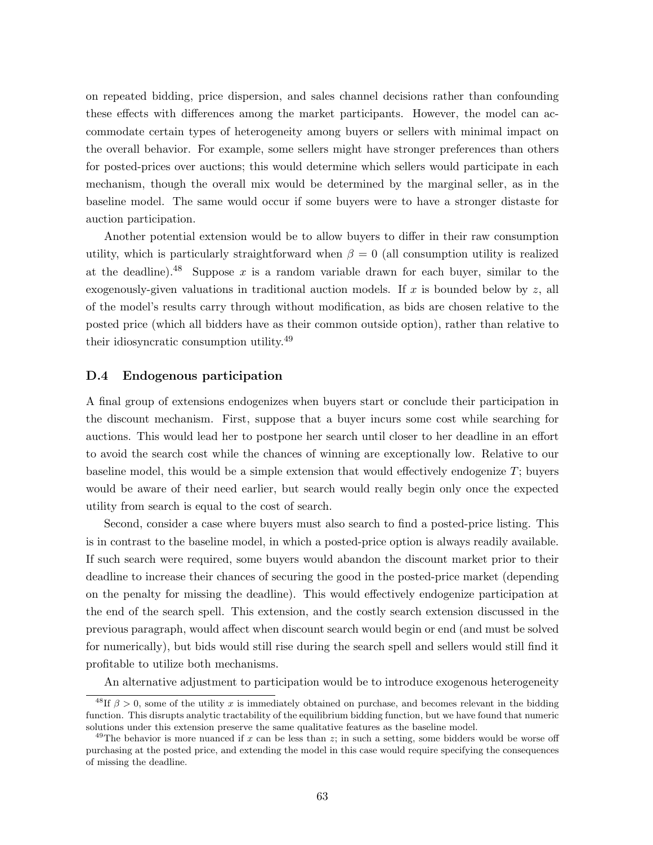on repeated bidding, price dispersion, and sales channel decisions rather than confounding these effects with differences among the market participants. However, the model can accommodate certain types of heterogeneity among buyers or sellers with minimal impact on the overall behavior. For example, some sellers might have stronger preferences than others for posted-prices over auctions; this would determine which sellers would participate in each mechanism, though the overall mix would be determined by the marginal seller, as in the baseline model. The same would occur if some buyers were to have a stronger distaste for auction participation.

Another potential extension would be to allow buyers to differ in their raw consumption utility, which is particularly straightforward when  $\beta = 0$  (all consumption utility is realized at the deadline).<sup>48</sup> Suppose x is a random variable drawn for each buyer, similar to the exogenously-given valuations in traditional auction models. If x is bounded below by z, all of the model's results carry through without modification, as bids are chosen relative to the posted price (which all bidders have as their common outside option), rather than relative to their idiosyncratic consumption utility.<sup>49</sup>

### D.4 Endogenous participation

A final group of extensions endogenizes when buyers start or conclude their participation in the discount mechanism. First, suppose that a buyer incurs some cost while searching for auctions. This would lead her to postpone her search until closer to her deadline in an effort to avoid the search cost while the chances of winning are exceptionally low. Relative to our baseline model, this would be a simple extension that would effectively endogenize T; buyers would be aware of their need earlier, but search would really begin only once the expected utility from search is equal to the cost of search.

Second, consider a case where buyers must also search to find a posted-price listing. This is in contrast to the baseline model, in which a posted-price option is always readily available. If such search were required, some buyers would abandon the discount market prior to their deadline to increase their chances of securing the good in the posted-price market (depending on the penalty for missing the deadline). This would effectively endogenize participation at the end of the search spell. This extension, and the costly search extension discussed in the previous paragraph, would affect when discount search would begin or end (and must be solved for numerically), but bids would still rise during the search spell and sellers would still find it profitable to utilize both mechanisms.

An alternative adjustment to participation would be to introduce exogenous heterogeneity

<sup>&</sup>lt;sup>48</sup>If  $\beta > 0$ , some of the utility x is immediately obtained on purchase, and becomes relevant in the bidding function. This disrupts analytic tractability of the equilibrium bidding function, but we have found that numeric solutions under this extension preserve the same qualitative features as the baseline model.

<sup>&</sup>lt;sup>49</sup>The behavior is more nuanced if x can be less than z; in such a setting, some bidders would be worse off purchasing at the posted price, and extending the model in this case would require specifying the consequences of missing the deadline.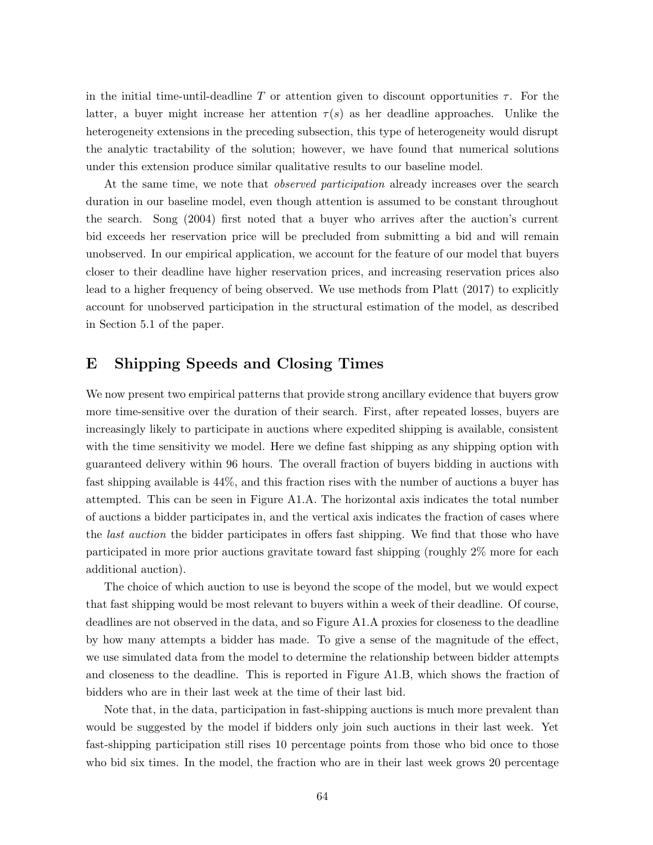in the initial time-until-deadline T or attention given to discount opportunities  $\tau$ . For the latter, a buyer might increase her attention  $\tau(s)$  as her deadline approaches. Unlike the heterogeneity extensions in the preceding subsection, this type of heterogeneity would disrupt the analytic tractability of the solution; however, we have found that numerical solutions under this extension produce similar qualitative results to our baseline model.

At the same time, we note that *observed participation* already increases over the search duration in our baseline model, even though attention is assumed to be constant throughout the search. Song (2004) first noted that a buyer who arrives after the auction's current bid exceeds her reservation price will be precluded from submitting a bid and will remain unobserved. In our empirical application, we account for the feature of our model that buyers closer to their deadline have higher reservation prices, and increasing reservation prices also lead to a higher frequency of being observed. We use methods from Platt (2017) to explicitly account for unobserved participation in the structural estimation of the model, as described in Section 5.1 of the paper.

## E Shipping Speeds and Closing Times

We now present two empirical patterns that provide strong ancillary evidence that buyers grow more time-sensitive over the duration of their search. First, after repeated losses, buyers are increasingly likely to participate in auctions where expedited shipping is available, consistent with the time sensitivity we model. Here we define fast shipping as any shipping option with guaranteed delivery within 96 hours. The overall fraction of buyers bidding in auctions with fast shipping available is 44%, and this fraction rises with the number of auctions a buyer has attempted. This can be seen in Figure A1.A. The horizontal axis indicates the total number of auctions a bidder participates in, and the vertical axis indicates the fraction of cases where the last auction the bidder participates in offers fast shipping. We find that those who have participated in more prior auctions gravitate toward fast shipping (roughly 2% more for each additional auction).

The choice of which auction to use is beyond the scope of the model, but we would expect that fast shipping would be most relevant to buyers within a week of their deadline. Of course, deadlines are not observed in the data, and so Figure A1.A proxies for closeness to the deadline by how many attempts a bidder has made. To give a sense of the magnitude of the effect, we use simulated data from the model to determine the relationship between bidder attempts and closeness to the deadline. This is reported in Figure A1.B, which shows the fraction of bidders who are in their last week at the time of their last bid.

Note that, in the data, participation in fast-shipping auctions is much more prevalent than would be suggested by the model if bidders only join such auctions in their last week. Yet fast-shipping participation still rises 10 percentage points from those who bid once to those who bid six times. In the model, the fraction who are in their last week grows 20 percentage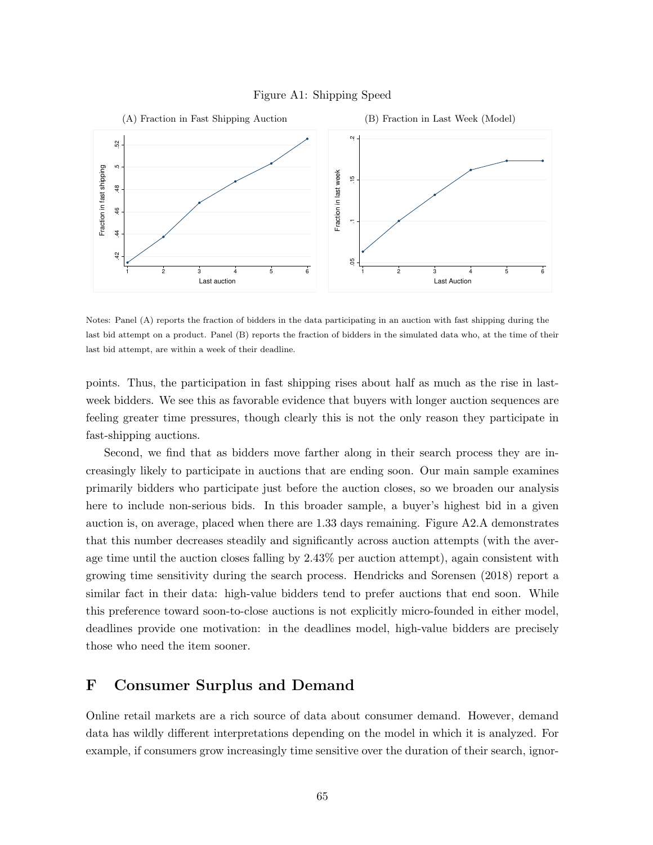



Notes: Panel (A) reports the fraction of bidders in the data participating in an auction with fast shipping during the last bid attempt on a product. Panel (B) reports the fraction of bidders in the simulated data who, at the time of their last bid attempt, are within a week of their deadline.

points. Thus, the participation in fast shipping rises about half as much as the rise in lastweek bidders. We see this as favorable evidence that buyers with longer auction sequences are feeling greater time pressures, though clearly this is not the only reason they participate in fast-shipping auctions.

Second, we find that as bidders move farther along in their search process they are increasingly likely to participate in auctions that are ending soon. Our main sample examines primarily bidders who participate just before the auction closes, so we broaden our analysis here to include non-serious bids. In this broader sample, a buyer's highest bid in a given auction is, on average, placed when there are 1.33 days remaining. Figure A2.A demonstrates that this number decreases steadily and significantly across auction attempts (with the average time until the auction closes falling by 2.43% per auction attempt), again consistent with growing time sensitivity during the search process. Hendricks and Sorensen (2018) report a similar fact in their data: high-value bidders tend to prefer auctions that end soon. While this preference toward soon-to-close auctions is not explicitly micro-founded in either model, deadlines provide one motivation: in the deadlines model, high-value bidders are precisely those who need the item sooner.

# F Consumer Surplus and Demand

Online retail markets are a rich source of data about consumer demand. However, demand data has wildly different interpretations depending on the model in which it is analyzed. For example, if consumers grow increasingly time sensitive over the duration of their search, ignor-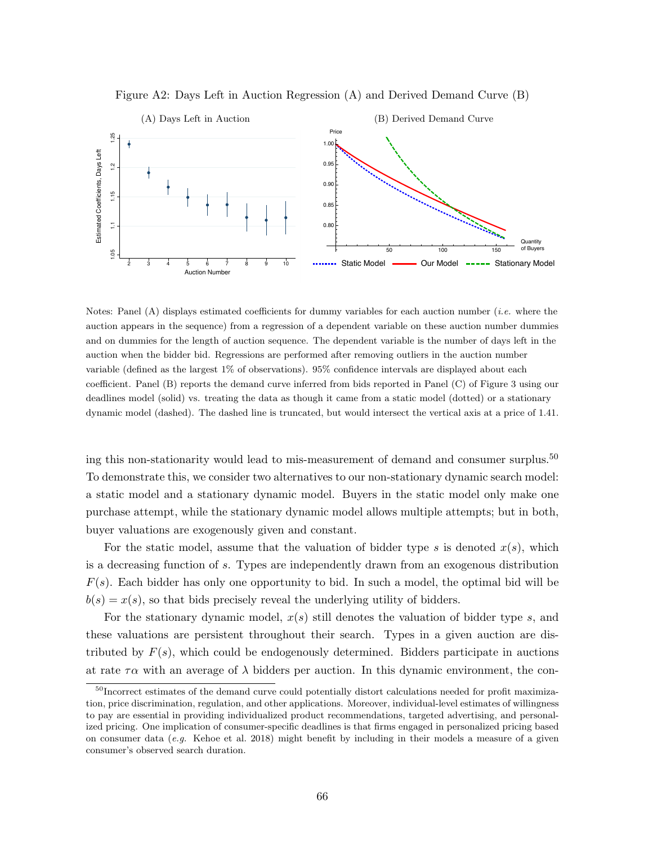

Figure A2: Days Left in Auction Regression (A) and Derived Demand Curve (B)

Notes: Panel (A) displays estimated coefficients for dummy variables for each auction number (*i.e.* where the auction appears in the sequence) from a regression of a dependent variable on these auction number dummies and on dummies for the length of auction sequence. The dependent variable is the number of days left in the auction when the bidder bid. Regressions are performed after removing outliers in the auction number variable (defined as the largest 1% of observations). 95% confidence intervals are displayed about each coefficient. Panel (B) reports the demand curve inferred from bids reported in Panel (C) of Figure 3 using our deadlines model (solid) vs. treating the data as though it came from a static model (dotted) or a stationary dynamic model (dashed). The dashed line is truncated, but would intersect the vertical axis at a price of 1.41.

ing this non-stationarity would lead to mis-measurement of demand and consumer surplus. $50$ To demonstrate this, we consider two alternatives to our non-stationary dynamic search model: a static model and a stationary dynamic model. Buyers in the static model only make one purchase attempt, while the stationary dynamic model allows multiple attempts; but in both, buyer valuations are exogenously given and constant.

For the static model, assume that the valuation of bidder type s is denoted  $x(s)$ , which is a decreasing function of s. Types are independently drawn from an exogenous distribution  $F(s)$ . Each bidder has only one opportunity to bid. In such a model, the optimal bid will be  $b(s) = x(s)$ , so that bids precisely reveal the underlying utility of bidders.

For the stationary dynamic model,  $x(s)$  still denotes the valuation of bidder type s, and these valuations are persistent throughout their search. Types in a given auction are distributed by  $F(s)$ , which could be endogenously determined. Bidders participate in auctions at rate  $\tau \alpha$  with an average of  $\lambda$  bidders per auction. In this dynamic environment, the con-

<sup>&</sup>lt;sup>50</sup>Incorrect estimates of the demand curve could potentially distort calculations needed for profit maximization, price discrimination, regulation, and other applications. Moreover, individual-level estimates of willingness to pay are essential in providing individualized product recommendations, targeted advertising, and personalized pricing. One implication of consumer-specific deadlines is that firms engaged in personalized pricing based on consumer data  $(e.g.$  Kehoe et al. 2018) might benefit by including in their models a measure of a given consumer's observed search duration.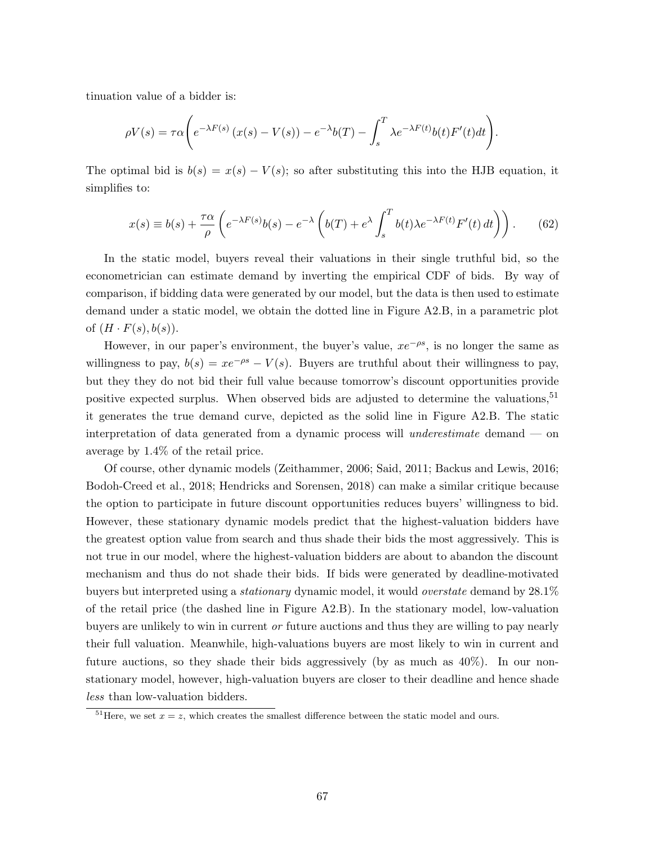tinuation value of a bidder is:

$$
\rho V(s) = \tau \alpha \bigg( e^{-\lambda F(s)} \left( x(s) - V(s) \right) - e^{-\lambda} b(T) - \int_s^T \lambda e^{-\lambda F(t)} b(t) F'(t) dt \bigg).
$$

The optimal bid is  $b(s) = x(s) - V(s)$ ; so after substituting this into the HJB equation, it simplifies to:

$$
x(s) \equiv b(s) + \frac{\tau \alpha}{\rho} \left( e^{-\lambda F(s)} b(s) - e^{-\lambda} \left( b(T) + e^{\lambda} \int_s^T b(t) \lambda e^{-\lambda F(t)} F'(t) dt \right) \right). \tag{62}
$$

In the static model, buyers reveal their valuations in their single truthful bid, so the econometrician can estimate demand by inverting the empirical CDF of bids. By way of comparison, if bidding data were generated by our model, but the data is then used to estimate demand under a static model, we obtain the dotted line in Figure A2.B, in a parametric plot of  $(H \cdot F(s), b(s))$ .

However, in our paper's environment, the buyer's value,  $xe^{-\rho s}$ , is no longer the same as willingness to pay,  $b(s) = xe^{-\rho s} - V(s)$ . Buyers are truthful about their willingness to pay, but they they do not bid their full value because tomorrow's discount opportunities provide positive expected surplus. When observed bids are adjusted to determine the valuations,<sup>51</sup> it generates the true demand curve, depicted as the solid line in Figure A2.B. The static interpretation of data generated from a dynamic process will underestimate demand — on average by 1.4% of the retail price.

Of course, other dynamic models (Zeithammer, 2006; Said, 2011; Backus and Lewis, 2016; Bodoh-Creed et al., 2018; Hendricks and Sorensen, 2018) can make a similar critique because the option to participate in future discount opportunities reduces buyers' willingness to bid. However, these stationary dynamic models predict that the highest-valuation bidders have the greatest option value from search and thus shade their bids the most aggressively. This is not true in our model, where the highest-valuation bidders are about to abandon the discount mechanism and thus do not shade their bids. If bids were generated by deadline-motivated buyers but interpreted using a stationary dynamic model, it would overstate demand by 28.1% of the retail price (the dashed line in Figure A2.B). In the stationary model, low-valuation buyers are unlikely to win in current or future auctions and thus they are willing to pay nearly their full valuation. Meanwhile, high-valuations buyers are most likely to win in current and future auctions, so they shade their bids aggressively (by as much as  $40\%$ ). In our nonstationary model, however, high-valuation buyers are closer to their deadline and hence shade less than low-valuation bidders.

<sup>&</sup>lt;sup>51</sup>Here, we set  $x = z$ , which creates the smallest difference between the static model and ours.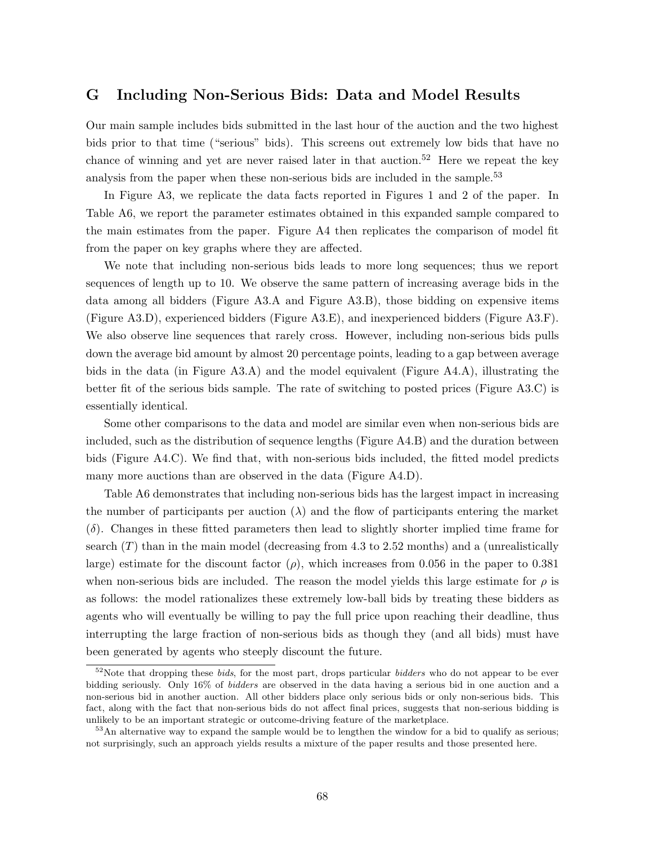# G Including Non-Serious Bids: Data and Model Results

Our main sample includes bids submitted in the last hour of the auction and the two highest bids prior to that time ("serious" bids). This screens out extremely low bids that have no chance of winning and yet are never raised later in that auction.<sup>52</sup> Here we repeat the key analysis from the paper when these non-serious bids are included in the sample.<sup>53</sup>

In Figure A3, we replicate the data facts reported in Figures 1 and 2 of the paper. In Table A6, we report the parameter estimates obtained in this expanded sample compared to the main estimates from the paper. Figure A4 then replicates the comparison of model fit from the paper on key graphs where they are affected.

We note that including non-serious bids leads to more long sequences; thus we report sequences of length up to 10. We observe the same pattern of increasing average bids in the data among all bidders (Figure A3.A and Figure A3.B), those bidding on expensive items (Figure A3.D), experienced bidders (Figure A3.E), and inexperienced bidders (Figure A3.F). We also observe line sequences that rarely cross. However, including non-serious bids pulls down the average bid amount by almost 20 percentage points, leading to a gap between average bids in the data (in Figure A3.A) and the model equivalent (Figure A4.A), illustrating the better fit of the serious bids sample. The rate of switching to posted prices (Figure A3.C) is essentially identical.

Some other comparisons to the data and model are similar even when non-serious bids are included, such as the distribution of sequence lengths (Figure A4.B) and the duration between bids (Figure A4.C). We find that, with non-serious bids included, the fitted model predicts many more auctions than are observed in the data (Figure A4.D).

Table A6 demonstrates that including non-serious bids has the largest impact in increasing the number of participants per auction  $(\lambda)$  and the flow of participants entering the market  $(\delta)$ . Changes in these fitted parameters then lead to slightly shorter implied time frame for search  $(T)$  than in the main model (decreasing from 4.3 to 2.52 months) and a (unrealistically large) estimate for the discount factor  $(\rho)$ , which increases from 0.056 in the paper to 0.381 when non-serious bids are included. The reason the model yields this large estimate for  $\rho$  is as follows: the model rationalizes these extremely low-ball bids by treating these bidders as agents who will eventually be willing to pay the full price upon reaching their deadline, thus interrupting the large fraction of non-serious bids as though they (and all bids) must have been generated by agents who steeply discount the future.

 $52$ Note that dropping these *bids*, for the most part, drops particular *bidders* who do not appear to be ever bidding seriously. Only 16% of bidders are observed in the data having a serious bid in one auction and a non-serious bid in another auction. All other bidders place only serious bids or only non-serious bids. This fact, along with the fact that non-serious bids do not affect final prices, suggests that non-serious bidding is unlikely to be an important strategic or outcome-driving feature of the marketplace.

 $53$ An alternative way to expand the sample would be to lengthen the window for a bid to qualify as serious; not surprisingly, such an approach yields results a mixture of the paper results and those presented here.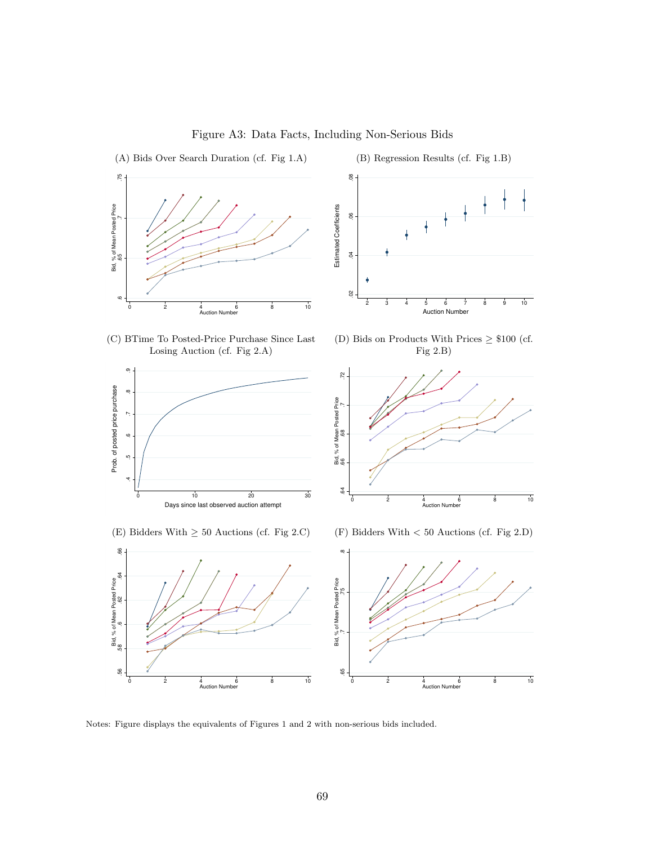

Figure A3: Data Facts, Including Non-Serious Bids

 $\overset{\circ}{\text{0}}$ 

 $\overline{0}$  $\frac{1}{2}$ 

(B) Regression Results (cf. Fig 1.B)



(C) BTime To Posted-Price Purchase Since Last Losing Auction (cf. Fig 2.A)



(E) Bidders With  $\geq$  50 Auctions (cf. Fig 2.C)

(D) Bids on Products With Prices  $\geq$  \$100 (cf. Fig 2.B)



(F) Bidders With < 50 Auctions (cf. Fig 2.D)



Notes: Figure displays the equivalents of Figures 1 and 2 with non-serious bids included.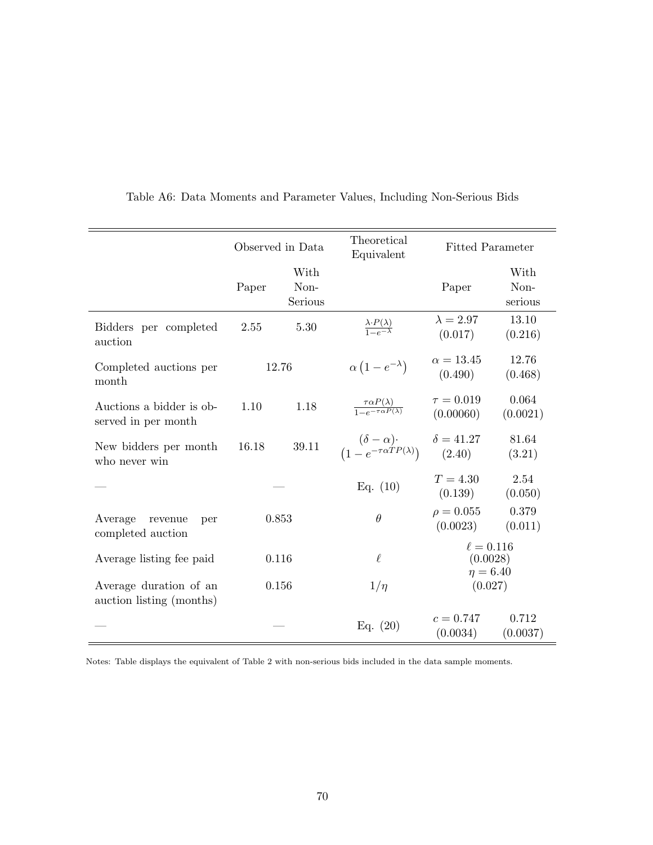|                                                    | Observed in Data |                         | Theoretical<br>Equivalent                                        | <b>Fitted Parameter</b>                     |                         |                         |                   |
|----------------------------------------------------|------------------|-------------------------|------------------------------------------------------------------|---------------------------------------------|-------------------------|-------------------------|-------------------|
|                                                    | Paper            | With<br>Non-<br>Serious |                                                                  | Paper                                       | With<br>Non-<br>serious |                         |                   |
| Bidders per completed<br>auction                   | 5.30<br>2.55     |                         | $\frac{\lambda \cdot P(\lambda)}{1 - e^{-\lambda}}$              | $\lambda = 2.97$<br>(0.017)                 | 13.10<br>(0.216)        |                         |                   |
| Completed auctions per<br>month                    |                  | 12.76                   | $\alpha\left(1-e^{-\lambda}\right)$                              | $\alpha = 13.45$<br>(0.490)                 | 12.76<br>(0.468)        |                         |                   |
| Auctions a bidder is ob-<br>served in per month    | 1.18<br>1.10     |                         | $\frac{\tau \alpha P(\lambda)}{1 - e^{-\tau \alpha P(\lambda)}}$ | $\tau = 0.019$<br>(0.00060)                 | 0.064<br>(0.0021)       |                         |                   |
| New bidders per month<br>who never win             | 16.18            | 39.11                   | $(\delta - \alpha)$<br>$(1 - e^{-\tau \alpha T P(\lambda)})$     | $\delta = 41.27$<br>(2.40)                  | 81.64<br>(3.21)         |                         |                   |
|                                                    |                  |                         | Eq. $(10)$                                                       | $T = 4.30$<br>(0.139)                       | 2.54<br>(0.050)         |                         |                   |
| Average<br>revenue<br>per<br>completed auction     | 0.853            |                         | $\theta$                                                         | $\rho = 0.055$<br>(0.0023)                  | 0.379<br>(0.011)        |                         |                   |
| Average listing fee paid                           | 0.116            |                         | $\ell$                                                           | $\ell = 0.116$<br>(0.0028)<br>$\eta = 6.40$ |                         |                         |                   |
| Average duration of an<br>auction listing (months) | 0.156            |                         | $1/\eta$                                                         | (0.027)                                     |                         |                         |                   |
|                                                    |                  |                         |                                                                  |                                             | Eq. $(20)$              | $c = 0.747$<br>(0.0034) | 0.712<br>(0.0037) |

Table A6: Data Moments and Parameter Values, Including Non-Serious Bids

Notes: Table displays the equivalent of Table 2 with non-serious bids included in the data sample moments.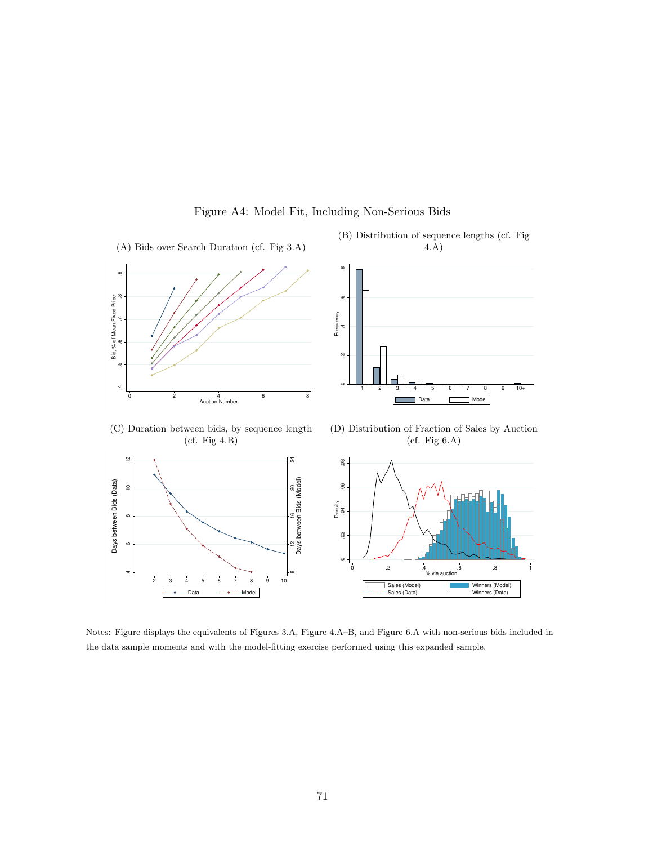

### Figure A4: Model Fit, Including Non-Serious Bids

Notes: Figure displays the equivalents of Figures 3.A, Figure 4.A–B, and Figure 6.A with non-serious bids included in the data sample moments and with the model-fitting exercise performed using this expanded sample.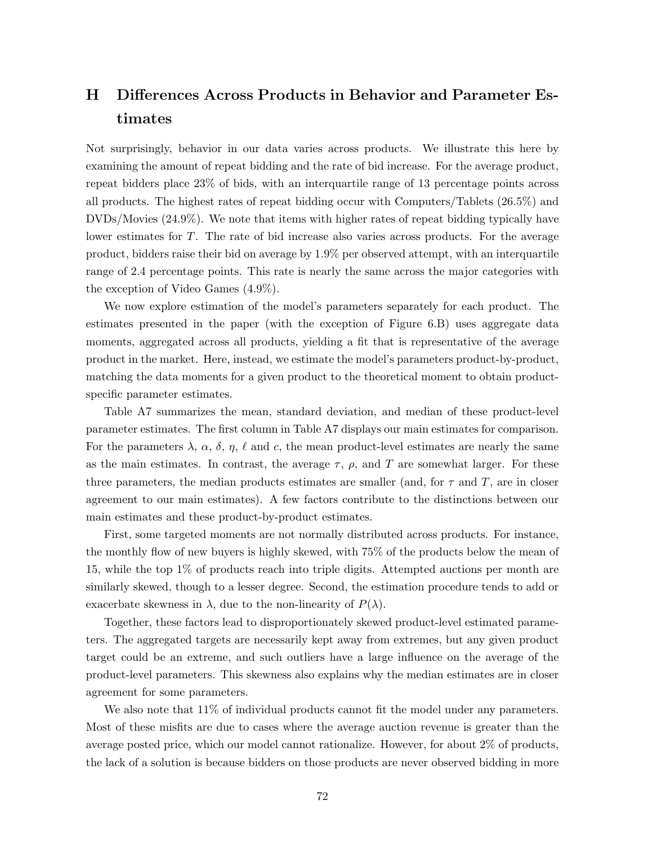# H Differences Across Products in Behavior and Parameter Estimates

Not surprisingly, behavior in our data varies across products. We illustrate this here by examining the amount of repeat bidding and the rate of bid increase. For the average product, repeat bidders place 23% of bids, with an interquartile range of 13 percentage points across all products. The highest rates of repeat bidding occur with Computers/Tablets (26.5%) and DVDs/Movies (24.9%). We note that items with higher rates of repeat bidding typically have lower estimates for T. The rate of bid increase also varies across products. For the average product, bidders raise their bid on average by 1.9% per observed attempt, with an interquartile range of 2.4 percentage points. This rate is nearly the same across the major categories with the exception of Video Games (4.9%).

We now explore estimation of the model's parameters separately for each product. The estimates presented in the paper (with the exception of Figure 6.B) uses aggregate data moments, aggregated across all products, yielding a fit that is representative of the average product in the market. Here, instead, we estimate the model's parameters product-by-product, matching the data moments for a given product to the theoretical moment to obtain productspecific parameter estimates.

Table A7 summarizes the mean, standard deviation, and median of these product-level parameter estimates. The first column in Table A7 displays our main estimates for comparison. For the parameters  $\lambda$ ,  $\alpha$ ,  $\delta$ ,  $\eta$ ,  $\ell$  and c, the mean product-level estimates are nearly the same as the main estimates. In contrast, the average  $\tau$ ,  $\rho$ , and T are somewhat larger. For these three parameters, the median products estimates are smaller (and, for  $\tau$  and  $T$ , are in closer agreement to our main estimates). A few factors contribute to the distinctions between our main estimates and these product-by-product estimates.

First, some targeted moments are not normally distributed across products. For instance, the monthly flow of new buyers is highly skewed, with 75% of the products below the mean of 15, while the top 1% of products reach into triple digits. Attempted auctions per month are similarly skewed, though to a lesser degree. Second, the estimation procedure tends to add or exacerbate skewness in  $\lambda$ , due to the non-linearity of  $P(\lambda)$ .

Together, these factors lead to disproportionately skewed product-level estimated parameters. The aggregated targets are necessarily kept away from extremes, but any given product target could be an extreme, and such outliers have a large influence on the average of the product-level parameters. This skewness also explains why the median estimates are in closer agreement for some parameters.

We also note that  $11\%$  of individual products cannot fit the model under any parameters. Most of these misfits are due to cases where the average auction revenue is greater than the average posted price, which our model cannot rationalize. However, for about 2% of products, the lack of a solution is because bidders on those products are never observed bidding in more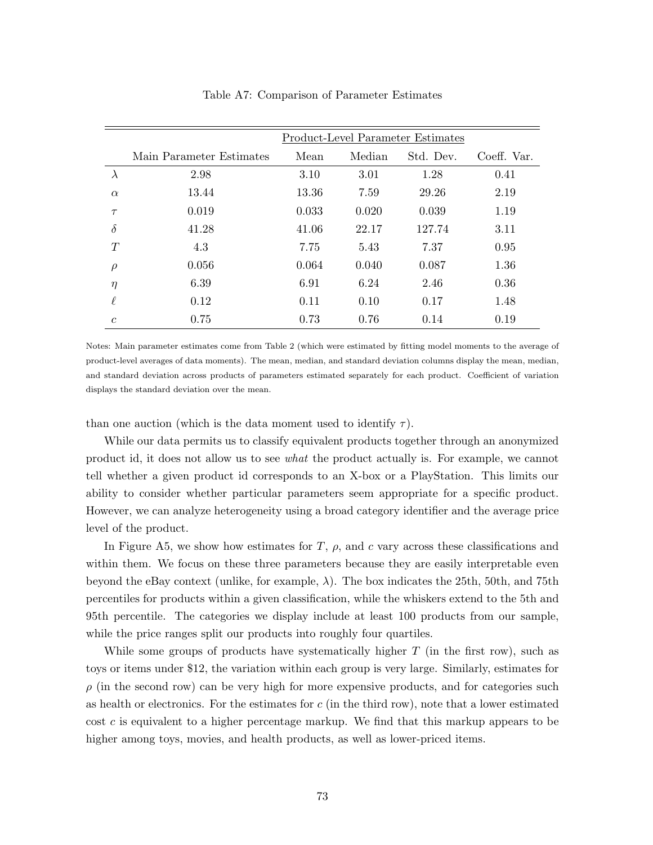|                | <b>Product-Level Parameter Estimates</b> |       |        |           |             |  |  |  |  |  |  |  |
|----------------|------------------------------------------|-------|--------|-----------|-------------|--|--|--|--|--|--|--|
|                | Main Parameter Estimates                 | Mean  | Median | Std. Dev. | Coeff. Var. |  |  |  |  |  |  |  |
| $\lambda$      | 2.98                                     | 3.10  | 3.01   | 1.28      | 0.41        |  |  |  |  |  |  |  |
| $\alpha$       | 13.44                                    | 13.36 | 7.59   | 29.26     | 2.19        |  |  |  |  |  |  |  |
| $\tau$         | 0.019                                    | 0.033 | 0.020  | 0.039     | 1.19        |  |  |  |  |  |  |  |
| $\delta$       | 41.28                                    | 41.06 | 22.17  | 127.74    | 3.11        |  |  |  |  |  |  |  |
| T              | 4.3                                      | 7.75  | 5.43   | 7.37      | 0.95        |  |  |  |  |  |  |  |
| $\rho$         | 0.056                                    | 0.064 | 0.040  | 0.087     | 1.36        |  |  |  |  |  |  |  |
| $\eta$         | 6.39                                     | 6.91  | 6.24   | 2.46      | 0.36        |  |  |  |  |  |  |  |
| $\ell$         | 0.12                                     | 0.11  | 0.10   | 0.17      | 1.48        |  |  |  |  |  |  |  |
| $\mathfrak{c}$ | 0.75                                     | 0.73  | 0.76   | 0.14      | 0.19        |  |  |  |  |  |  |  |

#### Table A7: Comparison of Parameter Estimates

Notes: Main parameter estimates come from Table 2 (which were estimated by fitting model moments to the average of product-level averages of data moments). The mean, median, and standard deviation columns display the mean, median, and standard deviation across products of parameters estimated separately for each product. Coefficient of variation displays the standard deviation over the mean.

than one auction (which is the data moment used to identify  $\tau$ ).

While our data permits us to classify equivalent products together through an anonymized product id, it does not allow us to see what the product actually is. For example, we cannot tell whether a given product id corresponds to an X-box or a PlayStation. This limits our ability to consider whether particular parameters seem appropriate for a specific product. However, we can analyze heterogeneity using a broad category identifier and the average price level of the product.

In Figure A5, we show how estimates for T,  $\rho$ , and c vary across these classifications and within them. We focus on these three parameters because they are easily interpretable even beyond the eBay context (unlike, for example,  $\lambda$ ). The box indicates the 25th, 50th, and 75th percentiles for products within a given classification, while the whiskers extend to the 5th and 95th percentile. The categories we display include at least 100 products from our sample, while the price ranges split our products into roughly four quartiles.

While some groups of products have systematically higher  $T$  (in the first row), such as toys or items under \$12, the variation within each group is very large. Similarly, estimates for  $\rho$  (in the second row) can be very high for more expensive products, and for categories such as health or electronics. For the estimates for  $c$  (in the third row), note that a lower estimated  $\cot c$  is equivalent to a higher percentage markup. We find that this markup appears to be higher among toys, movies, and health products, as well as lower-priced items.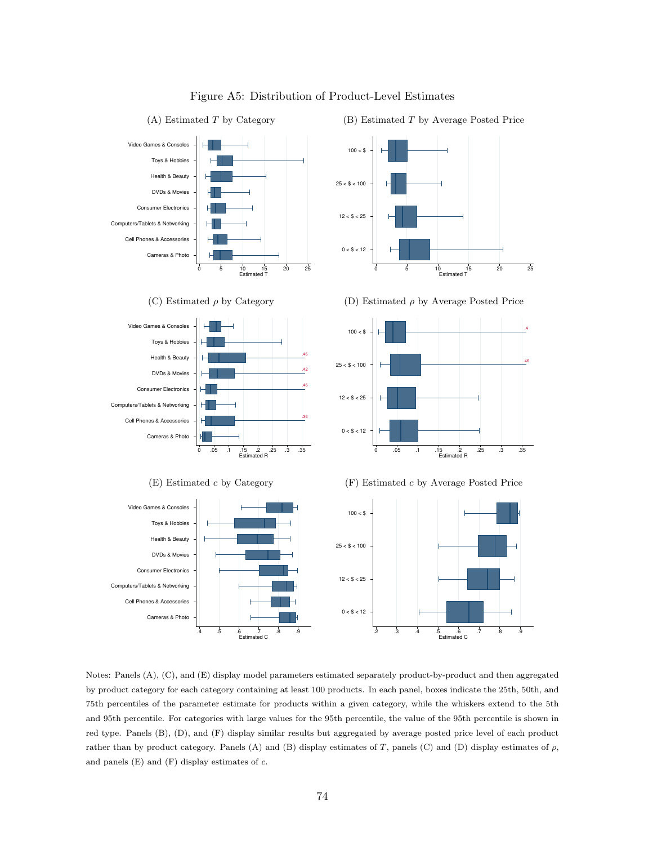

Figure A5: Distribution of Product-Level Estimates

Notes: Panels (A), (C), and (E) display model parameters estimated separately product-by-product and then aggregated by product category for each category containing at least 100 products. In each panel, boxes indicate the 25th, 50th, and 75th percentiles of the parameter estimate for products within a given category, while the whiskers extend to the 5th and 95th percentile. For categories with large values for the 95th percentile, the value of the 95th percentile is shown in red type. Panels (B), (D), and (F) display similar results but aggregated by average posted price level of each product rather than by product category. Panels (A) and (B) display estimates of T, panels (C) and (D) display estimates of  $\rho$ , and panels (E) and (F) display estimates of  $c.$